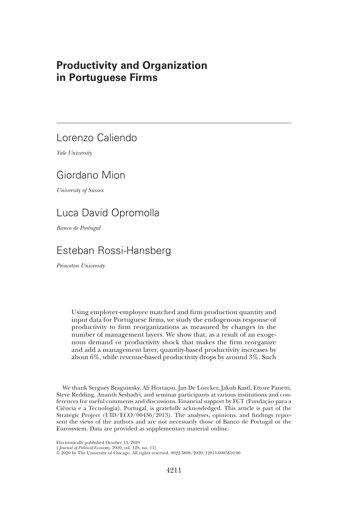# Productivity and Organization in Portuguese Firms

# Lorenzo Caliendo

Yale University

# Giordano Mion

University of Sussex

# Luca David Opromolla

Banco de Portugal

# Esteban Rossi-Hansberg

Princeton University

Using employer-employee matched and firm production quantity and input data for Portuguese firms, we study the endogenous response of productivity to firm reorganizations as measured by changes in the number of management layers. We show that, as a result of an exogenous demand or productivity shock that makes the firm reorganize and add a management layer, quantity-based productivity increases by about 6%, while revenue-based productivity drops by around 3%. Such

We thank Serguey Braguinsky, Ali Hortaçsu, Jan De Loecker, Jakub Kastl, Ettore Panetti, Steve Redding, Ananth Seshadri, and seminar participants at various institutions and conferences for useful comments and discussions. Financial support by FCT (Fundação para a Ciência e a Tecnologia), Portugal, is gratefully acknowledged. This article is part of the Strategic Project (UID/ECO/00436/2013). The analyses, opinions, and findings represent the views of the authors and are not necessarily those of Banco de Portugal or the Eurosystem. Data are provided as supplementary material online.

Electronically published October 13, 2020

[ Journal of Political Economy, 2020, vol. 128, no. 11]

<sup>©</sup> 2020 by The University of Chicago. All rights reserved. 0022-3808/2020/12811-0005\$10.00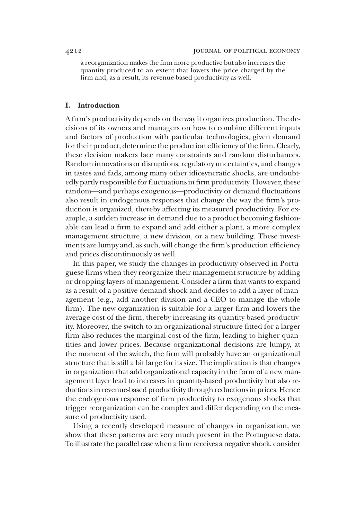a reorganization makes the firm more productive but also increases the quantity produced to an extent that lowers the price charged by the firm and, as a result, its revenue-based productivity as well.

#### I. Introduction

A firm's productivity depends on the way it organizes production. The decisions of its owners and managers on how to combine different inputs and factors of production with particular technologies, given demand for their product, determine the production efficiency of the firm. Clearly, these decision makers face many constraints and random disturbances. Random innovations or disruptions, regulatory uncertainties, and changes in tastes and fads, among many other idiosyncratic shocks, are undoubtedly partly responsible for fluctuations in firm productivity. However, these random—and perhaps exogenous—productivity or demand fluctuations also result in endogenous responses that change the way the firm's production is organized, thereby affecting its measured productivity. For example, a sudden increase in demand due to a product becoming fashionable can lead a firm to expand and add either a plant, a more complex management structure, a new division, or a new building. These investments are lumpy and, as such, will change the firm's production efficiency and prices discontinuously as well.

In this paper, we study the changes in productivity observed in Portuguese firms when they reorganize their management structure by adding or dropping layers of management. Consider a firm that wants to expand as a result of a positive demand shock and decides to add a layer of management (e.g., add another division and a CEO to manage the whole firm). The new organization is suitable for a larger firm and lowers the average cost of the firm, thereby increasing its quantity-based productivity. Moreover, the switch to an organizational structure fitted for a larger firm also reduces the marginal cost of the firm, leading to higher quantities and lower prices. Because organizational decisions are lumpy, at the moment of the switch, the firm will probably have an organizational structure that is still a bit large for its size. The implication is that changes in organization that add organizational capacity in the form of a new management layer lead to increases in quantity-based productivity but also reductions in revenue-based productivity through reductions in prices. Hence the endogenous response of firm productivity to exogenous shocks that trigger reorganization can be complex and differ depending on the measure of productivity used.

Using a recently developed measure of changes in organization, we show that these patterns are very much present in the Portuguese data. To illustrate the parallel case when a firm receives a negative shock, consider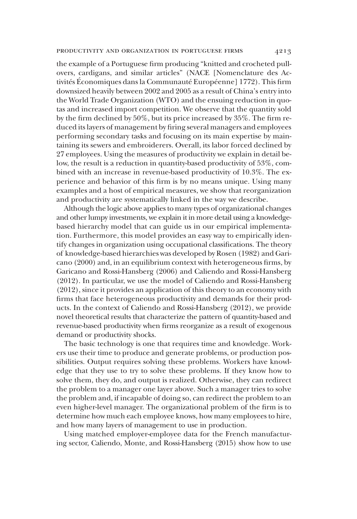the example of a Portuguese firm producing "knitted and crocheted pullovers, cardigans, and similar articles" (NACE [Nomenclature des Activités Économiques dans la Communauté Européenne] 1772). This firm downsized heavily between 2002 and 2005 as a result of China's entry into the World Trade Organization (WTO) and the ensuing reduction in quotas and increased import competition. We observe that the quantity sold by the firm declined by 50%, but its price increased by 35%. The firm reduced its layers of management by firing several managers and employees performing secondary tasks and focusing on its main expertise by maintaining its sewers and embroiderers. Overall, its labor forced declined by 27 employees. Using the measures of productivity we explain in detail below, the result is a reduction in quantity-based productivity of 53%, combined with an increase in revenue-based productivity of 10.3%. The experience and behavior of this firm is by no means unique. Using many examples and a host of empirical measures, we show that reorganization and productivity are systematically linked in the way we describe.

Although the logic above applies to many types of organizational changes and other lumpy investments, we explain it in more detail using a knowledgebased hierarchy model that can guide us in our empirical implementation. Furthermore, this model provides an easy way to empirically identify changes in organization using occupational classifications. The theory of knowledge-based hierarchies was developed by Rosen (1982) and Garicano (2000) and, in an equilibrium context with heterogeneous firms, by Garicano and Rossi-Hansberg (2006) and Caliendo and Rossi-Hansberg (2012). In particular, we use the model of Caliendo and Rossi-Hansberg (2012), since it provides an application of this theory to an economy with firms that face heterogeneous productivity and demands for their products. In the context of Caliendo and Rossi-Hansberg (2012), we provide novel theoretical results that characterize the pattern of quantity-based and revenue-based productivity when firms reorganize as a result of exogenous demand or productivity shocks.

The basic technology is one that requires time and knowledge. Workers use their time to produce and generate problems, or production possibilities. Output requires solving these problems. Workers have knowledge that they use to try to solve these problems. If they know how to solve them, they do, and output is realized. Otherwise, they can redirect the problem to a manager one layer above. Such a manager tries to solve the problem and, if incapable of doing so, can redirect the problem to an even higher-level manager. The organizational problem of the firm is to determine how much each employee knows, how many employees to hire, and how many layers of management to use in production.

Using matched employer-employee data for the French manufacturing sector, Caliendo, Monte, and Rossi-Hansberg (2015) show how to use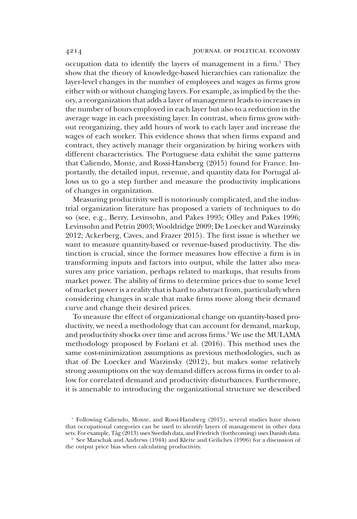occupation data to identify the layers of management in a firm.<sup>1</sup> They show that the theory of knowledge-based hierarchies can rationalize the layer-level changes in the number of employees and wages as firms grow either with or without changing layers. For example, as implied by the theory, a reorganization that adds a layer of management leads to increases in the number of hours employed in each layer but also to a reduction in the average wage in each preexisting layer. In contrast, when firms grow without reorganizing, they add hours of work to each layer and increase the wages of each worker. This evidence shows that when firms expand and contract, they actively manage their organization by hiring workers with different characteristics. The Portuguese data exhibit the same patterns that Caliendo, Monte, and Rossi-Hansberg (2015) found for France. Importantly, the detailed input, revenue, and quantity data for Portugal allows us to go a step further and measure the productivity implications of changes in organization.

Measuring productivity well is notoriously complicated, and the industrial organization literature has proposed a variety of techniques to do so (see, e.g., Berry, Levinsohn, and Pakes 1995; Olley and Pakes 1996; Levinsohn and Petrin 2003; Wooldridge 2009; De Loecker and Warzinsky 2012; Ackerberg, Caves, and Frazer 2015). The first issue is whether we want to measure quantity-based or revenue-based productivity. The distinction is crucial, since the former measures how effective a firm is in transforming inputs and factors into output, while the latter also measures any price variation, perhaps related to markups, that results from market power. The ability of firms to determine prices due to some level of market power is a reality that is hard to abstract from, particularly when considering changes in scale that make firms move along their demand curve and change their desired prices.

To measure the effect of organizational change on quantity-based productivity, we need a methodology that can account for demand, markup, and productivity shocks over time and across firms.<sup>2</sup> We use the MULAMA methodology proposed by Forlani et al. (2016). This method uses the same cost-minimization assumptions as previous methodologies, such as that of De Loecker and Warzinsky (2012), but makes some relatively strong assumptions on the way demand differs across firms in order to allow for correlated demand and productivity disturbances. Furthermore, it is amenable to introducing the organizational structure we described

<sup>1</sup> Following Caliendo, Monte, and Rossi-Hansberg (2015), several studies have shown that occupational categories can be used to identify layers of management in other data sets. For example, Tåg (2013) uses Swedish data, and Friedrich (forthcoming) uses Danish data.

<sup>2</sup> See Marschak and Andrews (1944) and Klette and Griliches (1996) for a discussion of the output price bias when calculating productivity.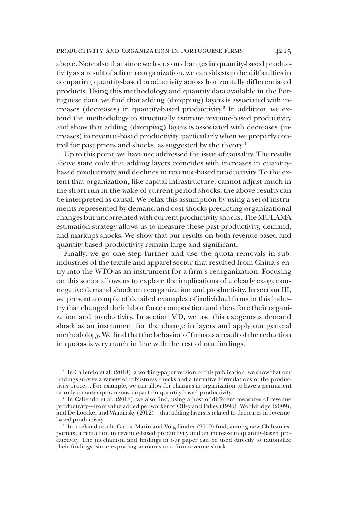#### productivity and organization in portuguese firms 4215

above. Note also that since we focus on changes in quantity-based productivity as a result of a firm reorganization, we can sidestep the difficulties in comparing quantity-based productivity across horizontally differentiated products. Using this methodology and quantity data available in the Portuguese data, we find that adding (dropping) layers is associated with increases (decreases) in quantity-based productivity.<sup>3</sup> In addition, we extend the methodology to structurally estimate revenue-based productivity and show that adding (dropping) layers is associated with decreases (increases) in revenue-based productivity, particularly when we properly control for past prices and shocks, as suggested by the theory.<sup>4</sup>

Up to this point, we have not addressed the issue of causality. The results above state only that adding layers coincides with increases in quantitybased productivity and declines in revenue-based productivity. To the extent that organization, like capital infrastructure, cannot adjust much in the short run in the wake of current-period shocks, the above results can be interpreted as causal. We relax this assumption by using a set of instruments represented by demand and cost shocks predicting organizational changes but uncorrelated with current productivity shocks. The MULAMA estimation strategy allows us to measure these past productivity, demand, and markups shocks. We show that our results on both revenue-based and quantity-based productivity remain large and significant.

Finally, we go one step further and use the quota removals in subindustries of the textile and apparel sector that resulted from China's entry into the WTO as an instrument for a firm's reorganization. Focusing on this sector allows us to explore the implications of a clearly exogenous negative demand shock on reorganization and productivity. In section III, we present a couple of detailed examples of individual firms in this industry that changed their labor force composition and therefore their organization and productivity. In section V.D, we use this exogenous demand shock as an instrument for the change in layers and apply our general methodology. We find that the behavior of firms as a result of the reduction in quotas is very much in line with the rest of our findings.<sup>5</sup>

<sup>3</sup> In Caliendo et al. (2018), a working-paper version of this publication, we show that our findings survive a variety of robustness checks and alternative formulations of the productivity process. For example, we can allow for changes in organization to have a permanent or only a contemporaneous impact on quantity-based productivity.

<sup>4</sup> In Caliendo et al. (2018), we also find, using a host of different measures of revenue productivity—from value added per worker to Olley and Pakes (1996), Wooldridge (2009), and De Loecker and Warzinsky (2012)—that adding layers is related to decreases in revenuebased productivity.

<sup>5</sup> In a related result, Garcia-Marin and Voigtländer (2019) find, among new Chilean exporters, a reduction in revenue-based productivity and an increase in quantity-based productivity. The mechanism and findings in our paper can be used directly to rationalize their findings, since exporting amounts to a firm revenue shock.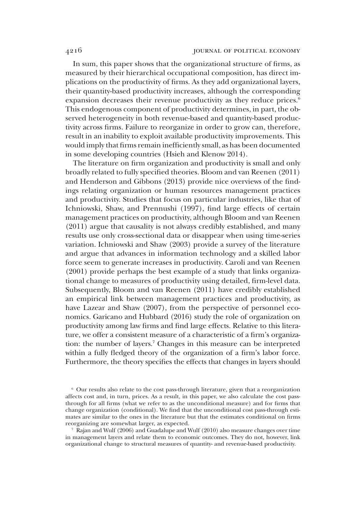In sum, this paper shows that the organizational structure of firms, as measured by their hierarchical occupational composition, has direct implications on the productivity of firms. As they add organizational layers, their quantity-based productivity increases, although the corresponding expansion decreases their revenue productivity as they reduce prices.<sup>6</sup> This endogenous component of productivity determines, in part, the observed heterogeneity in both revenue-based and quantity-based productivity across firms. Failure to reorganize in order to grow can, therefore, result in an inability to exploit available productivity improvements. This would imply that firms remain inefficiently small, as has been documented in some developing countries (Hsieh and Klenow 2014).

The literature on firm organization and productivity is small and only broadly related to fully specified theories. Bloom and van Reenen (2011) and Henderson and Gibbons (2013) provide nice overviews of the findings relating organization or human resources management practices and productivity. Studies that focus on particular industries, like that of Ichniowski, Shaw, and Prennushi (1997), find large effects of certain management practices on productivity, although Bloom and van Reenen (2011) argue that causality is not always credibly established, and many results use only cross-sectional data or disappear when using time-series variation. Ichniowski and Shaw (2003) provide a survey of the literature and argue that advances in information technology and a skilled labor force seem to generate increases in productivity. Caroli and van Reenen (2001) provide perhaps the best example of a study that links organizational change to measures of productivity using detailed, firm-level data. Subsequently, Bloom and van Reenen (2011) have credibly established an empirical link between management practices and productivity, as have Lazear and Shaw (2007), from the perspective of personnel economics. Garicano and Hubbard (2016) study the role of organization on productivity among law firms and find large effects. Relative to this literature, we offer a consistent measure of a characteristic of a firm's organization: the number of layers.7 Changes in this measure can be interpreted within a fully fledged theory of the organization of a firm's labor force. Furthermore, the theory specifies the effects that changes in layers should

<sup>6</sup> Our results also relate to the cost pass-through literature, given that a reorganization affects cost and, in turn, prices. As a result, in this paper, we also calculate the cost passthrough for all firms (what we refer to as the unconditional measure) and for firms that change organization (conditional). We find that the unconditional cost pass-through estimates are similar to the ones in the literature but that the estimates conditional on firms reorganizing are somewhat larger, as expected.

<sup>7</sup> Rajan and Wulf (2006) and Guadalupe and Wulf (2010) also measure changes over time in management layers and relate them to economic outcomes. They do not, however, link organizational change to structural measures of quantity- and revenue-based productivity.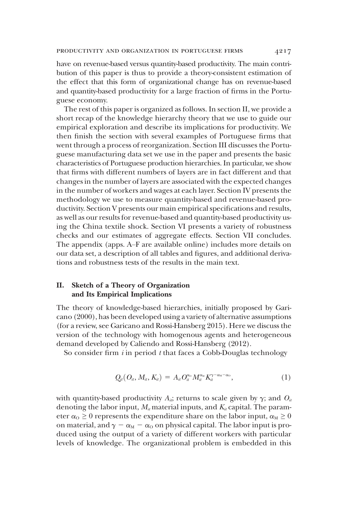have on revenue-based versus quantity-based productivity. The main contribution of this paper is thus to provide a theory-consistent estimation of the effect that this form of organizational change has on revenue-based and quantity-based productivity for a large fraction of firms in the Portuguese economy.

The rest of this paper is organized as follows. In section II, we provide a short recap of the knowledge hierarchy theory that we use to guide our empirical exploration and describe its implications for productivity. We then finish the section with several examples of Portuguese firms that went through a process of reorganization. Section III discusses the Portuguese manufacturing data set we use in the paper and presents the basic characteristics of Portuguese production hierarchies. In particular, we show that firms with different numbers of layers are in fact different and that changes in the number of layers are associated with the expected changes in the number of workers and wages at each layer. Section IV presents the methodology we use to measure quantity-based and revenue-based productivity. Section V presents our main empirical specifications and results, as well as our results for revenue-based and quantity-based productivity using the China textile shock. Section VI presents a variety of robustness checks and our estimates of aggregate effects. Section VII concludes. The appendix (apps. A–F are available online) includes more details on our data set, a description of all tables and figures, and additional derivations and robustness tests of the results in the main text.

# II. Sketch of a Theory of Organization and Its Empirical Implications

The theory of knowledge-based hierarchies, initially proposed by Garicano (2000), has been developed using a variety of alternative assumptions (for a review, see Garicano and Rossi-Hansberg 2015). Here we discuss the version of the technology with homogenous agents and heterogeneous demand developed by Caliendo and Rossi-Hansberg (2012).

So consider firm  $i$  in period  $t$  that faces a Cobb-Douglas technology

$$
Q_{il}(O_{il}, M_{il}, K_{il}) = A_{il} O_{il}^{\alpha_0} M_{il}^{\alpha_{kl}} K_{il}^{\gamma - \alpha_{kl} - \alpha_0}, \qquad (1)
$$

with quantity-based productivity  $A_{ii}$ ; returns to scale given by  $\gamma$ ; and  $O_{ii}$ denoting the labor input,  $M_{ii}$  material inputs, and  $K_{ii}$  capital. The parameter  $\alpha_0 \geq 0$  represents the expenditure share on the labor input,  $\alpha_M \geq 0$ on material, and  $\gamma - \alpha_M - \alpha_O$  on physical capital. The labor input is produced using the output of a variety of different workers with particular levels of knowledge. The organizational problem is embedded in this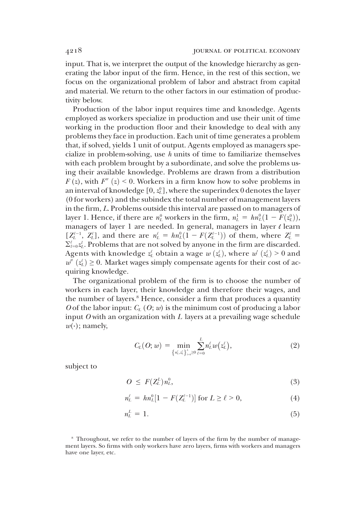input. That is, we interpret the output of the knowledge hierarchy as generating the labor input of the firm. Hence, in the rest of this section, we focus on the organizational problem of labor and abstract from capital and material. We return to the other factors in our estimation of productivity below.

Production of the labor input requires time and knowledge. Agents employed as workers specialize in production and use their unit of time working in the production floor and their knowledge to deal with any problems they face in production. Each unit of time generates a problem that, if solved, yields 1 unit of output. Agents employed as managers specialize in problem-solving, use  $h$  units of time to familiarize themselves with each problem brought by a subordinate, and solve the problems using their available knowledge. Problems are drawn from a distribution  $F(z)$ , with  $F''(z) < 0$ . Workers in a firm know how to solve problems in an interval of knowledge  $[0,z^0_L],$  where the superindex  $0$  denotes the layer (0 for workers) and the subindex the total number of management layers in the firm, L. Problems outside this interval are passed on to managers of layer 1. Hence, if there are  $n_L^0$  workers in the firm,  $n_L^1 = h n_L^0 (1 - F(z_L^0))$ ,<br>managers of layer 1 are needed. In general managers in layer *l* learn managers of layer 1 are needed. In general, managers in layer  $\ell$  learn  $[Z_L^{\ell-1}, Z_L^{\ell}]$ , and there are  $n_L^{\ell} = h n_L^0 (1 - F(Z_L^{\ell-1}))$  of them, where  $Z_L^{\ell} = \sum_{\ell=1}^{\ell} \mathbb{Z}^{\ell}$  Problems that are not solved by anyone in the firm are discarded  $\Sigma_{l=0}^{\ell}z_{L}^{l}.$  Problems that are not solved by anyone in the firm are discarded. Agents with knowledge  $z_L^i$  obtain a wage  $w(z_L^i)$ , where  $w'(z_L^i) > 0$  and  $w''(z_L^i) > 0$ . Market wages simply compensate agents for their cost of ac $w''(z_L^{\ell}) \geq 0$ . Market wages simply compensate agents for their cost of ac-<br>quiring knowledge quiring knowledge.

The organizational problem of the firm is to choose the number of workers in each layer, their knowledge and therefore their wages, and the number of layers.<sup>8</sup> Hence, consider a firm that produces a quantity O of the labor input:  $C_L$  (O; w) is the minimum cost of producing a labor input  $O$  with an organization with  $L$  layers at a prevailing wage schedule  $w(\cdot)$ ; namely,

$$
C_L(O; w) = \min_{\{n'_L, z'_L\}_{L=0}^L \geq 0} \sum_{\ell=0}^L n'_L w(z'_L), \qquad (2)
$$

subject to

$$
O \leq F(Z_L^L) n_L^0, \tag{3}
$$

$$
n_L^{\ell} = h n_L^0 [1 - F(Z_L^{\ell-1})] \text{ for } L \ge \ell > 0,
$$
 (4)

$$
n_L^L = 1. \tag{5}
$$

<sup>8</sup> Throughout, we refer to the number of layers of the firm by the number of management layers. So firms with only workers have zero layers, firms with workers and managers have one layer, etc.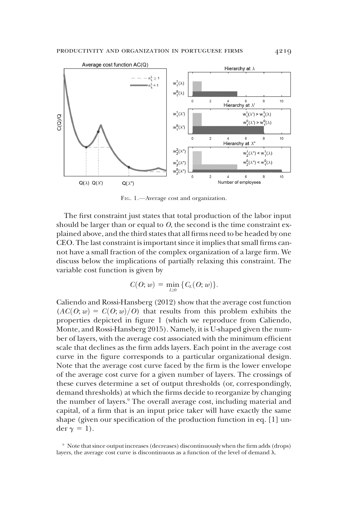

FIG. 1.—Average cost and organization.

The first constraint just states that total production of the labor input should be larger than or equal to  $O$ , the second is the time constraint explained above, and the third states that all firms need to be headed by one CEO. The last constraint is important since it implies that small firms cannot have a small fraction of the complex organization of a large firm. We discuss below the implications of partially relaxing this constraint. The variable cost function is given by

$$
C(O; w) = \min_{L \geq 0} \{ C_L(O; w) \}.
$$

Caliendo and Rossi-Hansberg (2012) show that the average cost function  $(AC(O; w) = C(O; w)/O)$  that results from this problem exhibits the properties depicted in figure 1 (which we reproduce from Caliendo, Monte, and Rossi-Hansberg 2015). Namely, it is U-shaped given the number of layers, with the average cost associated with the minimum efficient scale that declines as the firm adds layers. Each point in the average cost curve in the figure corresponds to a particular organizational design. Note that the average cost curve faced by the firm is the lower envelope of the average cost curve for a given number of layers. The crossings of these curves determine a set of output thresholds (or, correspondingly, demand thresholds) at which the firms decide to reorganize by changing the number of layers.<sup>9</sup> The overall average cost, including material and capital, of a firm that is an input price taker will have exactly the same shape (given our specification of the production function in eq. [1] under  $\gamma = 1$ .

<sup>9</sup> Note that since output increases (decreases) discontinuously when the firm adds (drops) layers, the average cost curve is discontinuous as a function of the level of demand  $\lambda$ .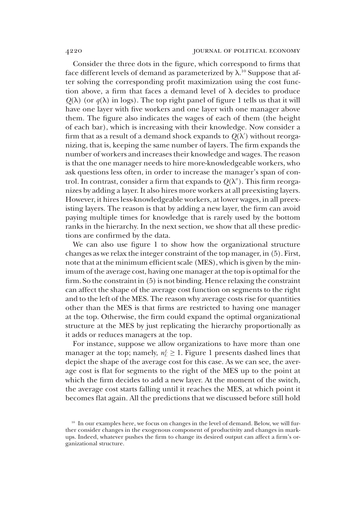Consider the three dots in the figure, which correspond to firms that face different levels of demand as parameterized by  $\lambda$ .<sup>10</sup> Suppose that after solving the corresponding profit maximization using the cost function above, a firm that faces a demand level of  $\lambda$  decides to produce  $Q(\lambda)$  (or  $q(\lambda)$  in logs). The top right panel of figure 1 tells us that it will have one layer with five workers and one layer with one manager above them. The figure also indicates the wages of each of them (the height of each bar), which is increasing with their knowledge. Now consider a firm that as a result of a demand shock expands to  $Q(\lambda')$  without reorganizing, that is, keeping the same number of layers. The firm expands the number of workers and increases their knowledge and wages. The reason is that the one manager needs to hire more-knowledgeable workers, who ask questions less often, in order to increase the manager's span of control. In contrast, consider a firm that expands to  $Q(\lambda'')$ . This firm reorganizes by adding a layer. It also hires more workers at all preexisting layers. However, it hires less-knowledgeable workers, at lower wages, in all preexisting layers. The reason is that by adding a new layer, the firm can avoid paying multiple times for knowledge that is rarely used by the bottom ranks in the hierarchy. In the next section, we show that all these predictions are confirmed by the data.

We can also use figure 1 to show how the organizational structure changes as we relax the integer constraint of the top manager, in (5). First, note that at the minimum efficient scale (MES), which is given by the minimum of the average cost, having one manager at the top is optimal for the firm. So the constraint in (5) is not binding. Hence relaxing the constraint can affect the shape of the average cost function on segments to the right and to the left of the MES. The reason why average costs rise for quantities other than the MES is that firms are restricted to having one manager at the top. Otherwise, the firm could expand the optimal organizational structure at the MES by just replicating the hierarchy proportionally as it adds or reduces managers at the top.

For instance, suppose we allow organizations to have more than one manager at the top; namely,  $n_L^L \geq 1$ . Figure 1 presents dashed lines that depict the shape of the average cost for this case. As we can see, the average cost is flat for segments to the right of the MES up to the point at which the firm decides to add a new layer. At the moment of the switch, the average cost starts falling until it reaches the MES, at which point it becomes flat again. All the predictions that we discussed before still hold

<sup>&</sup>lt;sup>10</sup> In our examples here, we focus on changes in the level of demand. Below, we will further consider changes in the exogenous component of productivity and changes in markups. Indeed, whatever pushes the firm to change its desired output can affect a firm's organizational structure.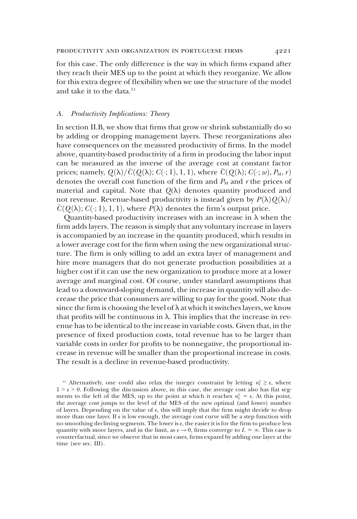for this case. The only difference is the way in which firms expand after they reach their MES up to the point at which they reorganize. We allow for this extra degree of flexibility when we use the structure of the model and take it to the data.<sup>11</sup>

#### A. Productivity Implications: Theory

In section II.B, we show that firms that grow or shrink substantially do so by adding or dropping management layers. These reorganizations also have consequences on the measured productivity of firms. In the model above, quantity-based productivity of a firm in producing the labor input can be measured as the inverse of the average cost at constant factor prices; namely,  $Q(\lambda)/\overline{C}(Q(\lambda); C(\cdot; 1), 1, 1)$ , where  $\overline{C}(Q(\lambda); C(\cdot; w), P_M, r)$ denotes the overall cost function of the firm and  $P_M$  and r the prices of material and capital. Note that  $Q(\lambda)$  denotes quantity produced and not revenue. Revenue-based productivity is instead given by  $P(\lambda)Q(\lambda)$  $\overline{C}(\mathcal{Q}(\lambda); C(\cdot; 1), 1, 1)$ , where  $P(\lambda)$  denotes the firm's output price.

Quantity-based productivity increases with an increase in  $\lambda$  when the firm adds layers. The reason is simply that any voluntary increase in layers is accompanied by an increase in the quantity produced, which results in a lower average cost for the firm when using the new organizational structure. The firm is only willing to add an extra layer of management and hire more managers that do not generate production possibilities at a higher cost if it can use the new organization to produce more at a lower average and marginal cost. Of course, under standard assumptions that lead to a downward-sloping demand, the increase in quantity will also decrease the price that consumers are willing to pay for the good. Note that since the firm is choosing the level of  $\lambda$  at which it switches layers, we know that profits will be continuous in  $\lambda$ . This implies that the increase in revenue has to be identical to the increase in variable costs. Given that, in the presence of fixed production costs, total revenue has to be larger than variable costs in order for profits to be nonnegative, the proportional increase in revenue will be smaller than the proportional increase in costs. The result is a decline in revenue-based productivity.

<sup>&</sup>lt;sup>11</sup> Alternatively, one could also relax the integer constraint by letting  $n^L \geq \epsilon$ , where  $1 > \epsilon > 0$ . Following the discussion above, in this case, the average cost also has flat segments to the left of the MES, up to the point at which it reaches  $n_L^L = \epsilon$ . At this point, the average cost jumps to the level of the MES of the new optimal (and lower) number of layers. Depending on the value of  $\epsilon$ , this will imply that the firm might decide to drop more than one layer. If  $\epsilon$  is low enough, the average cost curve will be a step function with no smoothing declining segments. The lower is  $\epsilon$ , the easier it is for the firm to produce less quantity with more layers, and in the limit, as  $\epsilon \to 0$ , firms converge to  $L = \infty$ . This case is counterfactual, since we observe that in most cases, firms expand by adding one layer at the time (see sec. III).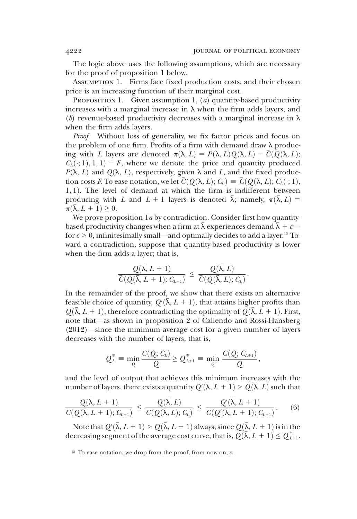The logic above uses the following assumptions, which are necessary for the proof of proposition 1 below.

Assumption 1. Firms face fixed production costs, and their chosen price is an increasing function of their marginal cost.

PROPOSITION 1. Given assumption 1,  $(a)$  quantity-based productivity increases with a marginal increase in  $\lambda$  when the firm adds layers, and (b) revenue-based productivity decreases with a marginal increase in  $\lambda$ when the firm adds layers.

Proof. Without loss of generality, we fix factor prices and focus on the problem of one firm. Profits of a firm with demand draw  $\lambda$  producing with L layers are denoted  $\pi(\lambda, L) = P(\lambda, L)Q(\lambda, L) - C(Q(\lambda, L));$  $C_L(\cdot; 1), 1, 1$  – F, where we denote the price and quantity produced  $P(\lambda, L)$  and  $Q(\lambda, L)$ , respectively, given  $\lambda$  and L, and the fixed production costs F. To ease notation, we let  $\overline{C}(Q(\lambda, L); C_L) \equiv \overline{C}(Q(\lambda, L); C_L(\cdot; 1),$  $1, 1$ ). The level of demand at which the firm is indifferent between producing with L and  $L + 1$  layers is denoted  $\bar{\lambda}$ ; namely,  $\pi(\bar{\lambda}, L) =$  $\pi(\lambda, L + 1) \geq 0.$ 

We prove proposition  $1a$  by contradiction. Consider first how quantitybased productivity changes when a firm at  $\lambda$  experiences demand  $\lambda + \varepsilon$  for  $\varepsilon > 0$ , infinitesimally small—and optimally decides to add a layer.<sup>12</sup> Toward a contradiction, suppose that quantity-based productivity is lower when the firm adds a layer; that is,

$$
\frac{Q(\bar{\lambda}, L+1)}{\bar{C}(Q(\bar{\lambda}, L+1); C_{L+1})} \leq \frac{Q(\bar{\lambda}, L)}{\bar{C}(Q(\bar{\lambda}, L); C_L)}.
$$

In the remainder of the proof, we show that there exists an alternative feasible choice of quantity,  $Q'(\bar{\lambda}, L + 1)$ , that attains higher profits than  $Q(\bar{\lambda}, L + 1)$ , therefore contradicting the optimality of  $Q(\bar{\lambda}, L + 1)$ . First  $Q(\overline{\lambda}, L + 1)$ , therefore contradicting the optimality of  $Q(\overline{\lambda}, L + 1)$ . First, note that—as shown in proposition 2 of Caliendo and Rossi-Hansberg (2012)—since the minimum average cost for a given number of layers decreases with the number of layers, that is,

$$
Q_L^* = \min_{Q} \frac{\overline{C}(Q; C_L)}{Q} \geq Q_{L+1}^* = \min_{Q} \frac{\overline{C}(Q; C_{L+1})}{Q},
$$

and the level of output that achieves this minimum increases with the number of layers, there exists a quantity  $Q'(\bar{\lambda}, L + 1) > Q(\bar{\lambda}, L)$  such that

$$
\frac{Q(\bar{\lambda}, L+1)}{\bar{C}(Q(\bar{\lambda}, L+1); C_{L+1})} \leq \frac{Q(\bar{\lambda}, L)}{\bar{C}(Q(\bar{\lambda}, L); C_L)} \leq \frac{Q'(\bar{\lambda}, L+1)}{\bar{C}(Q'(\bar{\lambda}, L+1); C_{L+1})}.
$$
(6)

Note that  $Q'(\bar{\lambda}, L + 1) > Q(\bar{\lambda}, L + 1)$  always, since  $Q(\bar{\lambda}, L + 1)$  is in the creasing segment of the average cost curve, that is  $Q(\bar{\lambda}, L + 1) < Q^*$ . decreasing segment of the average cost curve, that is,  $Q(\overline{\lambda}, L + 1) \leq Q^*_{L+1}$ .

<sup>12</sup> To ease notation, we drop from the proof, from now on, ε.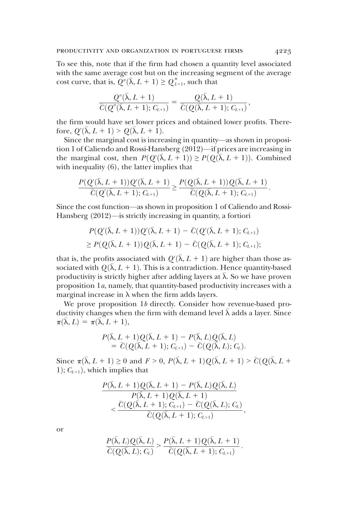To see this, note that if the firm had chosen a quantity level associated with the same average cost but on the increasing segment of the average cost curve, that is,  $Q''(\bar{\lambda}, L + 1) \ge Q_{L+1}^*$ , such that

$$
\frac{Q''(\bar{\lambda}, L+1)}{\bar{C}(Q''(\bar{\lambda}, L+1); C_{L+1})} = \frac{Q(\bar{\lambda}, L+1)}{\bar{C}(Q(\bar{\lambda}, L+1); C_{L+1})},
$$

the firm would have set lower prices and obtained lower profits. Therefore,  $Q'(\bar{\lambda}, L + 1) > Q(\bar{\lambda}, L + 1)$ .<br>Since the marginal cost is incre

Since the marginal cost is increasing in quantity—as shown in proposition 1 of Caliendo and Rossi-Hansberg (2012)—if prices are increasing in the marginal cost, then  $P(Q'(\bar{\lambda}, L + 1)) \ge P(Q(\bar{\lambda}, L + 1))$ . Combined<br>with inequality (6), the latter implies that with inequality (6), the latter implies that

$$
\frac{P(Q'(\bar{\lambda}, L+1))Q'(\bar{\lambda}, L+1)}{\bar{C}(Q'(\bar{\lambda}, L+1); C_{L+1})} \geq \frac{P(Q(\bar{\lambda}, L+1))Q(\bar{\lambda}, L+1)}{\bar{C}(Q(\bar{\lambda}, L+1); C_{L+1})}.
$$

Since the cost function—as shown in proposition 1 of Caliendo and Rossi-Hansberg (2012)—is strictly increasing in quantity, a fortiori

$$
P(Q'(\bar{\lambda}, L+1))Q'(\bar{\lambda}, L+1) - \bar{C}(Q'(\bar{\lambda}, L+1); C_{L+1})
$$
  
\n
$$
\geq P(Q(\bar{\lambda}, L+1))Q(\bar{\lambda}, L+1) - \bar{C}(Q(\bar{\lambda}, L+1); C_{L+1});
$$

that is, the profits associated with  $Q(\bar{\lambda}, L + 1)$  are higher than those as-<br>sociated with  $Q(\bar{\lambda}, L + 1)$ . This is a contradiction. Hence quantity-based sociated with  $Q(\lambda, L + 1)$ . This is a contradiction. Hence quantity-based productivity is strictly higher after adding layers at  $\lambda$ . So we have proven proposition 1a, namely, that quantity-based productivity increases with a marginal increase in  $\lambda$  when the firm adds layers.

We prove proposition 1b directly. Consider how revenue-based productivity changes when the firm with demand level  $\lambda$  adds a layer. Since  $\pi(\overline{\lambda}, L) = \pi(\overline{\lambda}, L + 1),$ 

$$
P(\bar{\lambda}, L+1)Q(\bar{\lambda}, L+1) - P(\bar{\lambda}, L)Q(\bar{\lambda}, L)
$$
  
=  $\bar{C}(Q(\bar{\lambda}, L+1); C_{L+1}) - \bar{C}(Q(\bar{\lambda}, L); C_{L}).$ 

Since  $\pi(\bar{\lambda}, L + 1) \ge 0$  and  $F > 0$ ,  $P(\bar{\lambda}, L + 1)Q(\bar{\lambda}, L + 1) > \bar{C}(Q(\bar{\lambda}, L +$ 1);  $C_{L+1}$ ), which implies that

$$
\frac{P(\bar{\lambda}, L+1)Q(\bar{\lambda}, L+1)-P(\bar{\lambda}, L)Q(\bar{\lambda}, L)}{P(\bar{\lambda}, L+1)Q(\bar{\lambda}, L+1)} < \frac{\bar{C}(Q(\bar{\lambda}, L+1); C_{L+1})-\bar{C}(Q(\bar{\lambda}, L); C_{L})}{\bar{C}(Q(\bar{\lambda}, L+1); C_{L+1})},
$$

or

$$
\frac{P(\bar{\lambda}, L)Q(\bar{\lambda}, L)}{\overline{C}(Q(\bar{\lambda}, L); C_L)} > \frac{P(\bar{\lambda}, L+1)Q(\bar{\lambda}, L+1)}{\overline{C}(Q(\bar{\lambda}, L+1); C_{L+1})}.
$$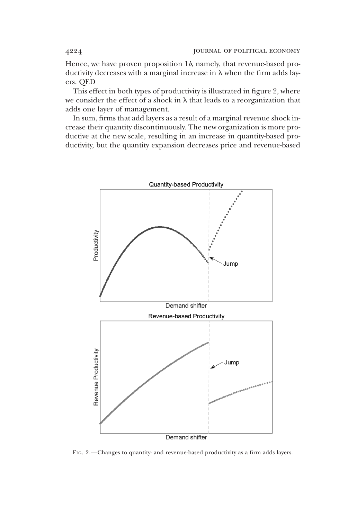Hence, we have proven proposition  $1b$ , namely, that revenue-based productivity decreases with a marginal increase in  $\lambda$  when the firm adds layers. QED

This effect in both types of productivity is illustrated in figure 2, where we consider the effect of a shock in  $\lambda$  that leads to a reorganization that adds one layer of management.

In sum, firms that add layers as a result of a marginal revenue shock increase their quantity discontinuously. The new organization is more productive at the new scale, resulting in an increase in quantity-based productivity, but the quantity expansion decreases price and revenue-based



FIG. 2.—Changes to quantity- and revenue-based productivity as a firm adds layers.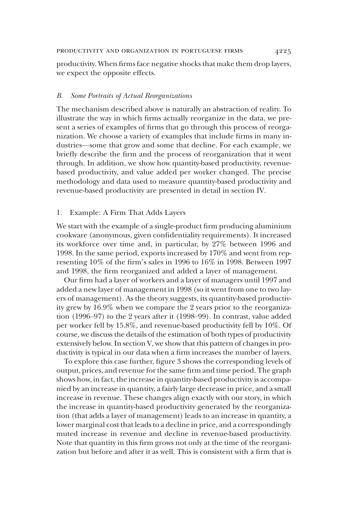productivity. When firms face negative shocks that make them drop layers, we expect the opposite effects.

# B. Some Portraits of Actual Reorganizations

The mechanism described above is naturally an abstraction of reality. To illustrate the way in which firms actually reorganize in the data, we present a series of examples of firms that go through this process of reorganization. We choose a variety of examples that include firms in many industries—some that grow and some that decline. For each example, we briefly describe the firm and the process of reorganization that it went through. In addition, we show how quantity-based productivity, revenuebased productivity, and value added per worker changed. The precise methodology and data used to measure quantity-based productivity and revenue-based productivity are presented in detail in section IV.

# 1. Example: A Firm That Adds Layers

We start with the example of a single-product firm producing aluminium cookware (anonymous, given confidentiality requirements). It increased its workforce over time and, in particular, by 27% between 1996 and 1998. In the same period, exports increased by 170% and went from representing 10% of the firm's sales in 1996 to 16% in 1998. Between 1997 and 1998, the firm reorganized and added a layer of management.

Our firm had a layer of workers and a layer of managers until 1997 and added a new layer of management in 1998 (so it went from one to two layers of management). As the theory suggests, its quantity-based productivity grew by 16.9% when we compare the 2 years prior to the reorganization (1996–97) to the 2 years after it (1998–99). In contrast, value added per worker fell by 15.8%, and revenue-based productivity fell by 10%. Of course, we discuss the details of the estimation of both types of productivity extensively below. In section V, we show that this pattern of changes in productivity is typical in our data when a firm increases the number of layers.

To explore this case further, figure 3 shows the corresponding levels of output, prices, and revenue for the same firm and time period. The graph shows how, in fact, the increase in quantity-based productivity is accompanied by an increase in quantity, a fairly large decrease in price, and a small increase in revenue. These changes align exactly with our story, in which the increase in quantity-based productivity generated by the reorganization (that adds a layer of management) leads to an increase in quantity, a lower marginal cost that leads to a decline in price, and a correspondingly muted increase in revenue and decline in revenue-based productivity. Note that quantity in this firm grows not only at the time of the reorganization but before and after it as well. This is consistent with a firm that is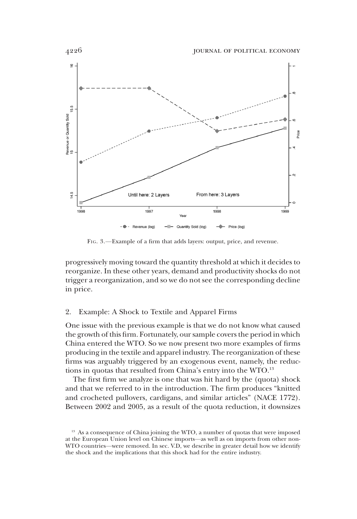

FIG. 3.—Example of a firm that adds layers: output, price, and revenue.

progressively moving toward the quantity threshold at which it decides to reorganize. In these other years, demand and productivity shocks do not trigger a reorganization, and so we do not see the corresponding decline in price.

# 2. Example: A Shock to Textile and Apparel Firms

One issue with the previous example is that we do not know what caused the growth of this firm. Fortunately, our sample covers the period in which China entered the WTO. So we now present two more examples of firms producing in the textile and apparel industry. The reorganization of these firms was arguably triggered by an exogenous event, namely, the reductions in quotas that resulted from China's entry into the WTO.13

The first firm we analyze is one that was hit hard by the (quota) shock and that we referred to in the introduction. The firm produces "knitted and crocheted pullovers, cardigans, and similar articles" (NACE 1772). Between 2002 and 2005, as a result of the quota reduction, it downsizes

<sup>&</sup>lt;sup>13</sup> As a consequence of China joining the WTO, a number of quotas that were imposed at the European Union level on Chinese imports—as well as on imports from other non-WTO countries—were removed. In sec. V.D, we describe in greater detail how we identify the shock and the implications that this shock had for the entire industry.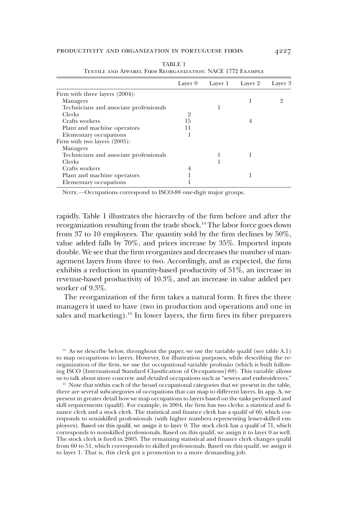|                                         | Layer 0 | Layer 1 | Layer 2 | Layer 3 |
|-----------------------------------------|---------|---------|---------|---------|
| Firm with three layers $(2004)$ :       |         |         |         |         |
| Managers                                |         |         |         |         |
| Technicians and associate professionals |         |         |         |         |
| <b>Clerks</b>                           | $^{2}$  |         |         |         |
| Crafts workers                          | 15      |         | 4       |         |
| Plant and machine operators             | 11      |         |         |         |
| Elementary occupations                  |         |         |         |         |
| Firm with two layers (2005):            |         |         |         |         |
| Managers                                |         |         |         |         |
| Technicians and associate professionals |         |         |         |         |
| <b>Clerks</b>                           |         |         |         |         |
| Crafts workers                          | 4       |         |         |         |
| Plant and machine operators             |         |         |         |         |
| Elementary occupations                  |         |         |         |         |

TABLE 1 Textile and Apparel Firm Reorganization: NACE 1772 Example

NOTE.—Occupations correspond to ISCO-88 one-digit major groups.

rapidly. Table 1 illustrates the hierarchy of the firm before and after the reorganization resulting from the trade shock.14 The labor force goes down from 37 to 10 employees. The quantity sold by the firm declines by 50%, value added falls by 70%, and prices increase by 35%. Imported inputs double. We see that the firm reorganizes and decreases the number of management layers from three to two. Accordingly, and as expected, the firm exhibits a reduction in quantity-based productivity of 51%, an increase in revenue-based productivity of 10.3%, and an increase in value added per worker of 9.3%.

The reorganization of the firm takes a natural form. It fires the three managers it used to have (two in production and operations and one in sales and marketing).<sup>15</sup> In lower layers, the firm fires its fiber preparers

 $14$  As we describe below, throughout the paper, we use the variable qualif (see table A.1) to map occupations to layers. However, for illustration purposes, while describing the reorganization of the firm, we use the occupational variable profissão (which is built following ISCO [International Standard Classification of Occupations]-88). This variable allows us to talk about more concrete and detailed occupations such as "sewers and embroiderers."

<sup>15</sup> Note that within each of the broad occupational categories that we present in the table, there are several subcategories of occupations that can map to different layers. In app. A, we present in greater detail how we map occupations to layers based on the tasks performed and skill requirements (qualif). For example, in 2004, the firm has two clerks: a statistical and finance clerk and a stock clerk. The statistical and finance clerk has a qualif of 60, which corresponds to semiskilled professionals (with higher numbers representing lesser-skilled employees). Based on this qualif, we assign it to layer 0. The stock clerk has a qualif of 71, which corresponds to nonskilled professionals. Based on this qualif, we assign it to layer 0 as well. The stock clerk is fired in 2005. The remaining statistical and finance clerk changes qualif from 60 to 51, which corresponds to skilled professionals. Based on this qualif, we assign it to layer 1. That is, this clerk got a promotion to a more demanding job.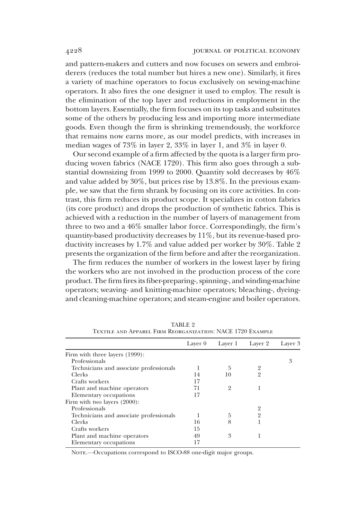and pattern-makers and cutters and now focuses on sewers and embroiderers (reduces the total number but hires a new one). Similarly, it fires a variety of machine operators to focus exclusively on sewing-machine operators. It also fires the one designer it used to employ. The result is the elimination of the top layer and reductions in employment in the bottom layers. Essentially, the firm focuses on its top tasks and substitutes some of the others by producing less and importing more intermediate goods. Even though the firm is shrinking tremendously, the workforce that remains now earns more, as our model predicts, with increases in median wages of 73% in layer 2, 33% in layer 1, and 3% in layer 0.

Our second example of a firm affected by the quota is a larger firm producing woven fabrics (NACE 1720). This firm also goes through a substantial downsizing from 1999 to 2000. Quantity sold decreases by 46% and value added by 30%, but prices rise by 13.8%. In the previous example, we saw that the firm shrank by focusing on its core activities. In contrast, this firm reduces its product scope. It specializes in cotton fabrics (its core product) and drops the production of synthetic fabrics. This is achieved with a reduction in the number of layers of management from three to two and a 46% smaller labor force. Correspondingly, the firm's quantity-based productivity decreases by 11%, but its revenue-based productivity increases by 1.7% and value added per worker by 30%. Table 2 presents the organization of the firm before and after the reorganization.

The firm reduces the number of workers in the lowest layer by firing the workers who are not involved in the production process of the core product. The firm fires its fiber-preparing-, spinning-, and winding-machine operators; weaving- and knitting-machine operators; bleaching-, dyeingand cleaning-machine operators; and steam-engine and boiler operators.

|                                         | Layer 0 | Layer 1        | Layer 2        | Layer 3 |
|-----------------------------------------|---------|----------------|----------------|---------|
| Firm with three layers (1999):          |         |                |                |         |
| Professionals                           |         |                |                | 3       |
| Technicians and associate professionals |         | 5              | 2              |         |
| Clerks                                  | 14      | 10             | $\overline{2}$ |         |
| Crafts workers                          | 17      |                |                |         |
| Plant and machine operators             | 71      | $\overline{2}$ |                |         |
| Elementary occupations                  | 17      |                |                |         |
| Firm with two layers (2000):            |         |                |                |         |
| Professionals                           |         |                |                |         |
| Technicians and associate professionals |         | 5              | 2              |         |
| Clerks                                  | 16      | 8              |                |         |
| Crafts workers                          | 15      |                |                |         |
| Plant and machine operators             | 49      | 3              |                |         |
| Elementary occupations                  | 17      |                |                |         |

TABLE 2 Textile and Apparel Firm Reorganization: NACE 1720 Example

NOTE. - Occupations correspond to ISCO-88 one-digit major groups.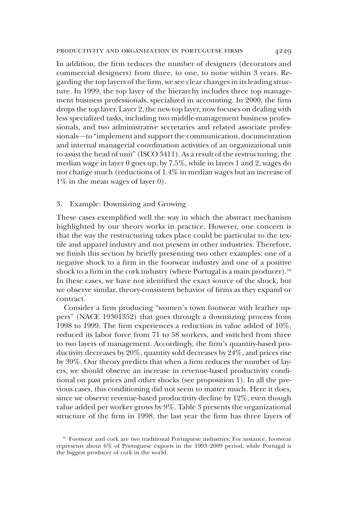In addition, the firm reduces the number of designers (decorators and commercial designers) from three, to one, to none within 3 years. Regarding the top layers of the firm, we see clear changes in its leading structure. In 1999, the top layer of the hierarchy includes three top management business professionals, specialized in accounting. In 2000, the firm drops the top layer. Layer 2, the new top layer, now focuses on dealing with less specialized tasks, including two middle-management business professionals, and two administrative secretaries and related associate professionals—to "implement and support the communication, documentation and internal managerial coordination activities of an organizational unit to assist the head of unit" (ISCO 3411). As a result of the restructuring, the median wage in layer 0 goes up, by 7.5%, while in layers 1 and 2, wages do not change much (reductions of 1.4% in median wages but an increase of 1% in the mean wages of layer 0).

# 3. Example: Downsizing and Growing

These cases exemplified well the way in which the abstract mechanism highlighted by our theory works in practice. However, one concern is that the way the restructuring takes place could be particular to the textile and apparel industry and not present in other industries. Therefore, we finish this section by briefly presenting two other examples: one of a negative shock to a firm in the footwear industry and one of a positive shock to a firm in the cork industry (where Portugal is a main producer).<sup>16</sup> In these cases, we have not identified the exact source of the shock, but we observe similar, theory-consistent behavior of firms as they expand or contract.

Consider a firm producing "women's town footwear with leather uppers" (NACE 19301352) that goes through a downsizing process from 1998 to 1999. The firm experiences a reduction in value added of 10%, reduced its labor force from 71 to 58 workers, and switched from three to two layers of management. Accordingly, the firm's quantity-based productivity decreases by 20%, quantity sold decreases by 24%, and prices rise by 39%. Our theory predicts that when a firm reduces the number of layers, we should observe an increase in revenue-based productivity conditional on past prices and other shocks (see proposition 1). In all the previous cases, this conditioning did not seem to matter much. Here it does, since we observe revenue-based productivity decline by 12%, even though value added per worker grows by 9%. Table 3 presents the organizational structure of the firm in 1998, the last year the firm has three layers of

<sup>&</sup>lt;sup>16</sup> Footwear and cork are two traditional Portuguese industries. For instance, footwear represents about 6% of Portuguese exports in the 1993–2009 period, while Portugal is the biggest producer of cork in the world.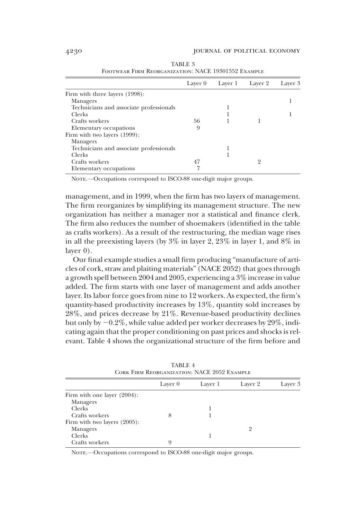|                                         | Layer 0 | Layer 1 | Layer 2 | Layer 3 |
|-----------------------------------------|---------|---------|---------|---------|
| Firm with three layers (1998):          |         |         |         |         |
| Managers                                |         |         |         |         |
| Technicians and associate professionals |         |         |         |         |
| Clerks                                  |         |         |         |         |
| Crafts workers                          | 56      |         |         |         |
| Elementary occupations                  | 9       |         |         |         |
| Firm with two layers (1999):            |         |         |         |         |
| Managers                                |         |         |         |         |
| Technicians and associate professionals |         |         |         |         |
| <b>Clerks</b>                           |         |         |         |         |
| Crafts workers                          | 47      |         |         |         |
| Elementary occupations                  |         |         |         |         |

TABLE 3 Footwear Firm Reorganization: NACE 19301352 Example

NOTE.—Occupations correspond to ISCO-88 one-digit major groups.

management, and in 1999, when the firm has two layers of management. The firm reorganizes by simplifying its management structure. The new organization has neither a manager nor a statistical and finance clerk. The firm also reduces the number of shoemakers (identified in the table as crafts workers). As a result of the restructuring, the median wage rises in all the preexisting layers (by 3% in layer 2, 23% in layer 1, and 8% in layer 0).

Our final example studies a small firm producing "manufacture of articles of cork, straw and plaiting materials" (NACE 2052) that goes through a growth spell between 2004 and 2005, experiencing a 3% increase in value added. The firm starts with one layer of management and adds another layer. Its labor force goes from nine to 12 workers. As expected, the firm's quantity-based productivity increases by 13%, quantity sold increases by 28%, and prices decrease by 21%. Revenue-based productivity declines but only by  $-0.2\%$ , while value added per worker decreases by 29%, indicating again that the proper conditioning on past prices and shocks is relevant. Table 4 shows the organizational structure of the firm before and

| Layer 0 | Layer 1 | Layer 2 | Layer 3 |  |
|---------|---------|---------|---------|--|
|         |         |         |         |  |
|         |         |         |         |  |
|         |         |         |         |  |
|         |         |         |         |  |
|         |         |         |         |  |
|         |         | 9       |         |  |
|         |         |         |         |  |
| 9       |         |         |         |  |
|         |         |         |         |  |

TABLE 4 Cork Firm Reorganization: NACE 2052 Example

NOTE. - Occupations correspond to ISCO-88 one-digit major groups.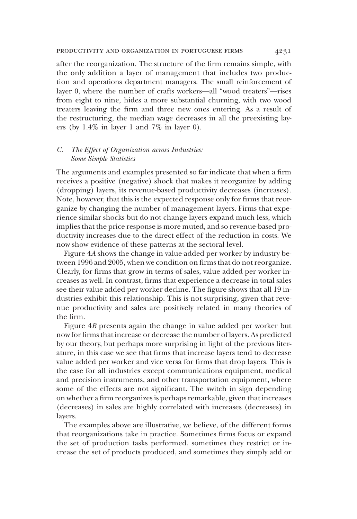#### productivity and organization in portuguese firms 4231

after the reorganization. The structure of the firm remains simple, with the only addition a layer of management that includes two production and operations department managers. The small reinforcement of layer 0, where the number of crafts workers—all "wood treaters"—rises from eight to nine, hides a more substantial churning, with two wood treaters leaving the firm and three new ones entering. As a result of the restructuring, the median wage decreases in all the preexisting layers (by 1.4% in layer 1 and 7% in layer 0).

# C. The Effect of Organization across Industries: Some Simple Statistics

The arguments and examples presented so far indicate that when a firm receives a positive (negative) shock that makes it reorganize by adding (dropping) layers, its revenue-based productivity decreases (increases). Note, however, that this is the expected response only for firms that reorganize by changing the number of management layers. Firms that experience similar shocks but do not change layers expand much less, which implies that the price response is more muted, and so revenue-based productivity increases due to the direct effect of the reduction in costs. We now show evidence of these patterns at the sectoral level.

Figure 4A shows the change in value-added per worker by industry between 1996 and 2005, when we condition on firms that do not reorganize. Clearly, for firms that grow in terms of sales, value added per worker increases as well. In contrast, firms that experience a decrease in total sales see their value added per worker decline. The figure shows that all 19 industries exhibit this relationship. This is not surprising, given that revenue productivity and sales are positively related in many theories of the firm.

Figure 4B presents again the change in value added per worker but now for firms that increase or decrease the number of layers. As predicted by our theory, but perhaps more surprising in light of the previous literature, in this case we see that firms that increase layers tend to decrease value added per worker and vice versa for firms that drop layers. This is the case for all industries except communications equipment, medical and precision instruments, and other transportation equipment, where some of the effects are not significant. The switch in sign depending on whether a firm reorganizes is perhaps remarkable, given that increases (decreases) in sales are highly correlated with increases (decreases) in layers.

The examples above are illustrative, we believe, of the different forms that reorganizations take in practice. Sometimes firms focus or expand the set of production tasks performed, sometimes they restrict or increase the set of products produced, and sometimes they simply add or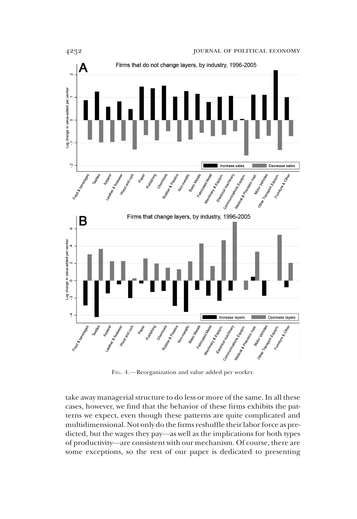

FIG. 4.—Reorganization and value added per worker.

take away managerial structure to do less or more of the same. In all these cases, however, we find that the behavior of these firms exhibits the patterns we expect, even though these patterns are quite complicated and multidimensional. Not only do the firms reshuffle their labor force as predicted, but the wages they pay—as well as the implications for both types of productivity—are consistent with our mechanism. Of course, there are some exceptions, so the rest of our paper is dedicated to presenting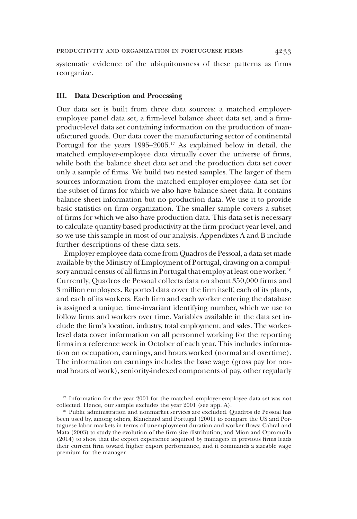systematic evidence of the ubiquitousness of these patterns as firms reorganize.

# III. Data Description and Processing

Our data set is built from three data sources: a matched employeremployee panel data set, a firm-level balance sheet data set, and a firmproduct-level data set containing information on the production of manufactured goods. Our data cover the manufacturing sector of continental Portugal for the years 1995–2005.17 As explained below in detail, the matched employer-employee data virtually cover the universe of firms, while both the balance sheet data set and the production data set cover only a sample of firms. We build two nested samples. The larger of them sources information from the matched employer-employee data set for the subset of firms for which we also have balance sheet data. It contains balance sheet information but no production data. We use it to provide basic statistics on firm organization. The smaller sample covers a subset of firms for which we also have production data. This data set is necessary to calculate quantity-based productivity at the firm-product-year level, and so we use this sample in most of our analysis. Appendixes A and B include further descriptions of these data sets.

Employer-employee data come from Quadros de Pessoal, a data set made available by the Ministry of Employment of Portugal, drawing on a compulsory annual census of all firms in Portugal that employ at least one worker.<sup>18</sup> Currently, Quadros de Pessoal collects data on about 350,000 firms and 3 million employees. Reported data cover the firm itself, each of its plants, and each of its workers. Each firm and each worker entering the database is assigned a unique, time-invariant identifying number, which we use to follow firms and workers over time. Variables available in the data set include the firm's location, industry, total employment, and sales. The workerlevel data cover information on all personnel working for the reporting firms in a reference week in October of each year. This includes information on occupation, earnings, and hours worked (normal and overtime). The information on earnings includes the base wage (gross pay for normal hours of work), seniority-indexed components of pay, other regularly

<sup>&</sup>lt;sup>17</sup> Information for the year 2001 for the matched employer-employee data set was not collected. Hence, our sample excludes the year 2001 (see app. A).

<sup>&</sup>lt;sup>18</sup> Public administration and nonmarket services are excluded. Quadros de Pessoal has been used by, among others, Blanchard and Portugal (2001) to compare the US and Portuguese labor markets in terms of unemployment duration and worker flows; Cabral and Mata (2003) to study the evolution of the firm size distribution; and Mion and Opromolla (2014) to show that the export experience acquired by managers in previous firms leads their current firm toward higher export performance, and it commands a sizeable wage premium for the manager.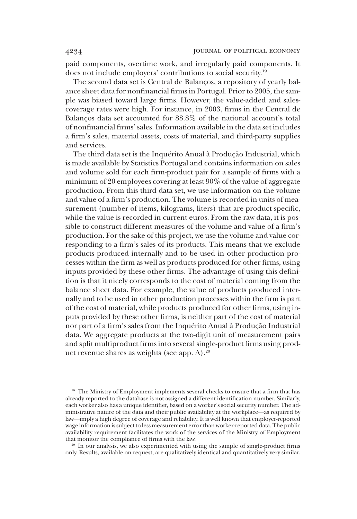paid components, overtime work, and irregularly paid components. It does not include employers' contributions to social security.19

The second data set is Central de Balanços, a repository of yearly balance sheet data for nonfinancial firms in Portugal. Prior to 2005, the sample was biased toward large firms. However, the value-added and salescoverage rates were high. For instance, in 2003, firms in the Central de Balanços data set accounted for 88.8% of the national account's total of nonfinancial firms' sales. Information available in the data set includes a firm's sales, material assets, costs of material, and third-party supplies and services.

The third data set is the Inquérito Anual à Produção Industrial, which is made available by Statistics Portugal and contains information on sales and volume sold for each firm-product pair for a sample of firms with a minimum of 20 employees covering at least 90% of the value of aggregate production. From this third data set, we use information on the volume and value of a firm's production. The volume is recorded in units of measurement (number of items, kilograms, liters) that are product specific, while the value is recorded in current euros. From the raw data, it is possible to construct different measures of the volume and value of a firm's production. For the sake of this project, we use the volume and value corresponding to a firm's sales of its products. This means that we exclude products produced internally and to be used in other production processes within the firm as well as products produced for other firms, using inputs provided by these other firms. The advantage of using this definition is that it nicely corresponds to the cost of material coming from the balance sheet data. For example, the value of products produced internally and to be used in other production processes within the firm is part of the cost of material, while products produced for other firms, using inputs provided by these other firms, is neither part of the cost of material nor part of a firm's sales from the Inquérito Anual à Produção Industrial data. We aggregate products at the two-digit unit of measurement pairs and split multiproduct firms into several single-product firms using product revenue shares as weights (see app. A).<sup>20</sup>

<sup>19</sup> The Ministry of Employment implements several checks to ensure that a firm that has already reported to the database is not assigned a different identification number. Similarly, each worker also has a unique identifier, based on a worker's social security number. The administrative nature of the data and their public availability at the workplace—as required by law—imply a high degree of coverage and reliability. It is well known that employer-reported wage information is subject to less measurement error than worker-reported data. The public availability requirement facilitates the work of the services of the Ministry of Employment that monitor the compliance of firms with the law.

<sup>20</sup> In our analysis, we also experimented with using the sample of single-product firms only. Results, available on request, are qualitatively identical and quantitatively very similar.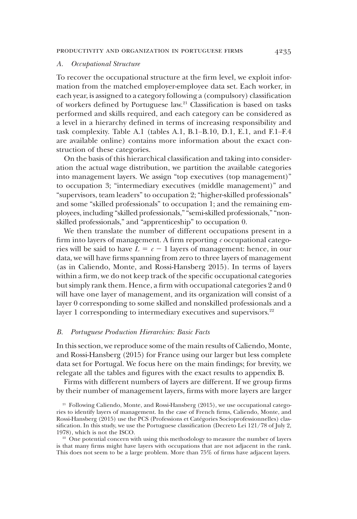#### A. Occupational Structure

To recover the occupational structure at the firm level, we exploit information from the matched employer-employee data set. Each worker, in each year, is assigned to a category following a (compulsory) classification of workers defined by Portuguese law.21 Classification is based on tasks performed and skills required, and each category can be considered as a level in a hierarchy defined in terms of increasing responsibility and task complexity. Table A.1 (tables A.1, B.1–B.10, D.1, E.1, and F.1–F.4 are available online) contains more information about the exact construction of these categories.

On the basis of this hierarchical classification and taking into consideration the actual wage distribution, we partition the available categories into management layers. We assign "top executives (top management)" to occupation 3; "intermediary executives (middle management)" and "supervisors, team leaders" to occupation 2; "higher-skilled professionals" and some "skilled professionals" to occupation 1; and the remaining employees, including "skilled professionals," "semi-skilled professionals," "nonskilled professionals," and "apprenticeship" to occupation 0.

We then translate the number of different occupations present in a firm into layers of management. A firm reporting  $c$  occupational categories will be said to have  $L = c - 1$  layers of management: hence, in our data, we will have firms spanning from zero to three layers of management (as in Caliendo, Monte, and Rossi-Hansberg 2015). In terms of layers within a firm, we do not keep track of the specific occupational categories but simply rank them. Hence, a firm with occupational categories 2 and 0 will have one layer of management, and its organization will consist of a layer 0 corresponding to some skilled and nonskilled professionals and a layer 1 corresponding to intermediary executives and supervisors.<sup>22</sup>

#### B. Portuguese Production Hierarchies: Basic Facts

In this section, we reproduce some of the main results of Caliendo, Monte, and Rossi-Hansberg (2015) for France using our larger but less complete data set for Portugal. We focus here on the main findings; for brevity, we relegate all the tables and figures with the exact results to appendix B.

Firms with different numbers of layers are different. If we group firms by their number of management layers, firms with more layers are larger

<sup>22</sup> One potential concern with using this methodology to measure the number of layers is that many firms might have layers with occupations that are not adjacent in the rank. This does not seem to be a large problem. More than 75% of firms have adjacent layers.

<sup>&</sup>lt;sup>21</sup> Following Caliendo, Monte, and Rossi-Hansberg (2015), we use occupational categories to identify layers of management. In the case of French firms, Caliendo, Monte, and Rossi-Hansberg (2015) use the PCS (Professions et Catégories Socioprofessionnelles) classification. In this study, we use the Portuguese classification (Decreto Lei 121/78 of July 2, 1978), which is not the ISCO.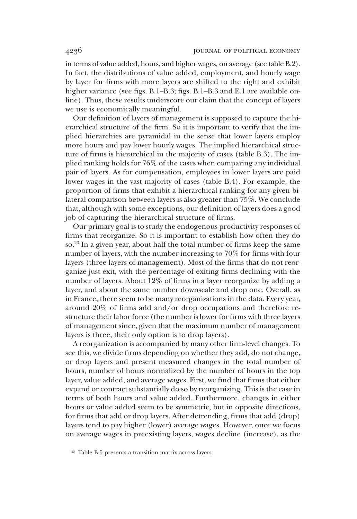in terms of value added, hours, and higher wages, on average (see table B.2). In fact, the distributions of value added, employment, and hourly wage by layer for firms with more layers are shifted to the right and exhibit higher variance (see figs. B.1–B.3; figs. B.1–B.3 and E.1 are available online). Thus, these results underscore our claim that the concept of layers we use is economically meaningful.

Our definition of layers of management is supposed to capture the hierarchical structure of the firm. So it is important to verify that the implied hierarchies are pyramidal in the sense that lower layers employ more hours and pay lower hourly wages. The implied hierarchical structure of firms is hierarchical in the majority of cases (table B.3). The implied ranking holds for 76% of the cases when comparing any individual pair of layers. As for compensation, employees in lower layers are paid lower wages in the vast majority of cases (table B.4). For example, the proportion of firms that exhibit a hierarchical ranking for any given bilateral comparison between layers is also greater than 75%. We conclude that, although with some exceptions, our definition of layers does a good job of capturing the hierarchical structure of firms.

Our primary goal is to study the endogenous productivity responses of firms that reorganize. So it is important to establish how often they do so.23 In a given year, about half the total number of firms keep the same number of layers, with the number increasing to 70% for firms with four layers (three layers of management). Most of the firms that do not reorganize just exit, with the percentage of exiting firms declining with the number of layers. About 12% of firms in a layer reorganize by adding a layer, and about the same number downscale and drop one. Overall, as in France, there seem to be many reorganizations in the data. Every year, around 20% of firms add and/or drop occupations and therefore restructure their labor force (the number is lower for firms with three layers of management since, given that the maximum number of management layers is three, their only option is to drop layers).

A reorganization is accompanied by many other firm-level changes. To see this, we divide firms depending on whether they add, do not change, or drop layers and present measured changes in the total number of hours, number of hours normalized by the number of hours in the top layer, value added, and average wages. First, we find that firms that either expand or contract substantially do so by reorganizing. This is the case in terms of both hours and value added. Furthermore, changes in either hours or value added seem to be symmetric, but in opposite directions, for firms that add or drop layers. After detrending, firms that add (drop) layers tend to pay higher (lower) average wages. However, once we focus on average wages in preexisting layers, wages decline (increase), as the

<sup>23</sup> Table B.5 presents a transition matrix across layers.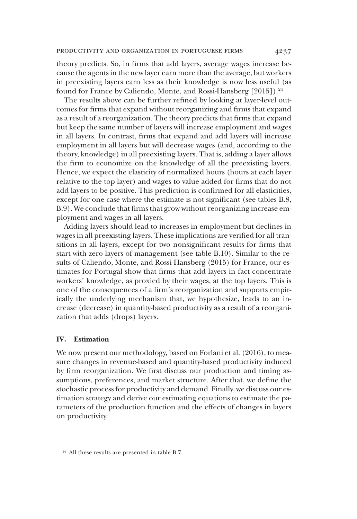theory predicts. So, in firms that add layers, average wages increase because the agents in the new layer earn more than the average, but workers in preexisting layers earn less as their knowledge is now less useful (as found for France by Caliendo, Monte, and Rossi-Hansberg [2015]).<sup>24</sup>

The results above can be further refined by looking at layer-level outcomes for firms that expand without reorganizing and firms that expand as a result of a reorganization. The theory predicts that firms that expand but keep the same number of layers will increase employment and wages in all layers. In contrast, firms that expand and add layers will increase employment in all layers but will decrease wages (and, according to the theory, knowledge) in all preexisting layers. That is, adding a layer allows the firm to economize on the knowledge of all the preexisting layers. Hence, we expect the elasticity of normalized hours (hours at each layer relative to the top layer) and wages to value added for firms that do not add layers to be positive. This prediction is confirmed for all elasticities, except for one case where the estimate is not significant (see tables B.8, B.9). We conclude that firms that grow without reorganizing increase employment and wages in all layers.

Adding layers should lead to increases in employment but declines in wages in all preexisting layers. These implications are verified for all transitions in all layers, except for two nonsignificant results for firms that start with zero layers of management (see table B.10). Similar to the results of Caliendo, Monte, and Rossi-Hansberg (2015) for France, our estimates for Portugal show that firms that add layers in fact concentrate workers' knowledge, as proxied by their wages, at the top layers. This is one of the consequences of a firm's reorganization and supports empirically the underlying mechanism that, we hypothesize, leads to an increase (decrease) in quantity-based productivity as a result of a reorganization that adds (drops) layers.

# IV. Estimation

We now present our methodology, based on Forlani et al. (2016), to measure changes in revenue-based and quantity-based productivity induced by firm reorganization. We first discuss our production and timing assumptions, preferences, and market structure. After that, we define the stochastic process for productivity and demand. Finally, we discuss our estimation strategy and derive our estimating equations to estimate the parameters of the production function and the effects of changes in layers on productivity.

<sup>&</sup>lt;sup>24</sup> All these results are presented in table B.7.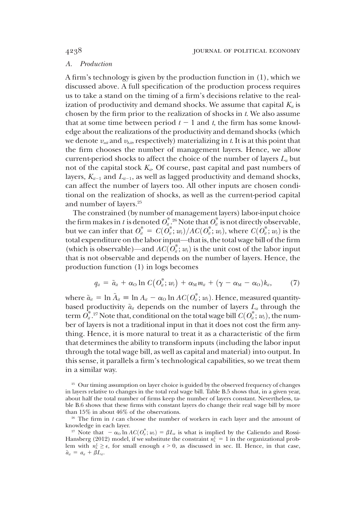# A. Production

A firm's technology is given by the production function in (1), which we discussed above. A full specification of the production process requires us to take a stand on the timing of a firm's decisions relative to the realization of productivity and demand shocks. We assume that capital  $K_{it}$  is chosen by the firm prior to the realization of shocks in t. We also assume that at some time between period  $t - 1$  and t, the firm has some knowledge about the realizations of the productivity and demand shocks (which we denote  $v_{\alpha i t}$  and  $v_{\lambda i t}$ , respectively) materializing in t. It is at this point that the firm chooses the number of management layers. Hence, we allow current-period shocks to affect the choice of the number of layers  $L<sub>i</sub>$  but not of the capital stock  $K_{it}$ . Of course, past capital and past numbers of layers,  $K_{ii-1}$  and  $L_{ii-1}$ , as well as lagged productivity and demand shocks, can affect the number of layers too. All other inputs are chosen conditional on the realization of shocks, as well as the current-period capital and number of layers.<sup>25</sup>

The constrained (by number of management layers) labor-input choice the firm makes in t is denoted  $O^*_{it}$ .<sup>26</sup> Note that  $O^*_{it}$  is not directly observable, but we can infer that  $O^*_u = C(O^*_u; w_t)/AC(O^*_u; w_t)$ , where  $C(O^*_u; w_t)$  is the total expenditure on the labor input—that is the total wage bill of the firm total expenditure on the labor input—that is, the total wage bill of the firm (which is observable)—and  $AC(\overline{O}_u^*, w_t)$  is the unit cost of the labor input<br>that is not observable and depends on the number of layers. Hence, the that is not observable and depends on the number of layers. Hence, the production function (1) in logs becomes

$$
q_{ii} = \tilde{a}_{ii} + \alpha_{\text{O}} \ln C\big( O_u^*; w_i \big) + \alpha_{\text{M}} m_{ii} + (\gamma - \alpha_{\text{M}} - \alpha_{\text{O}}) k_{ii}, \tag{7}
$$

where  $\tilde{a}_{ii} = \ln \tilde{A}_{ii} = \ln A_{ii} - \alpha_0 \ln AC(\tilde{O}_{ii}^*; w_i)$ . Hence, measured quantity-<br>based productivity  $\tilde{a}_{ii}$  depends on the number of layers L, through the based productivity  $\tilde{a}_{it}$  depends on the number of layers  $L_{it}$  through the term  $\overrightarrow{O}_u^*$ .<sup>27</sup> Note that, conditional on the total wage bill  $C(\overrightarrow{O}_u^*; w_t)$ , the num-<br>her of layers is not a traditional input in that it does not cost the firm anyber of layers is not a traditional input in that it does not cost the firm anything. Hence, it is more natural to treat it as a characteristic of the firm that determines the ability to transform inputs (including the labor input through the total wage bill, as well as capital and material) into output. In this sense, it parallels a firm's technological capabilities, so we treat them in a similar way.

<sup>&</sup>lt;sup>25</sup> Our timing assumption on layer choice is guided by the observed frequency of changes in layers relative to changes in the total real wage bill. Table B.5 shows that, in a given year, about half the total number of firms keep the number of layers constant. Nevertheless, table B.6 shows that these firms with constant layers do change their real wage bill by more than 15% in about 46% of the observations.

 $26$  The firm in t can choose the number of workers in each layer and the amount of knowledge in each layer.

<sup>&</sup>lt;sup>27</sup> Note that  $-\alpha_0 \ln AC(\theta_u^*; w_t) = \beta L_u$  is what is implied by the Caliendo and Rossi-<br>anshere (2012) model if we substitute the constraint  $n_t^t = 1$  in the organizational prob-Hansberg (2012) model, if we substitute the constraint  $n_L^L = 1$  in the organizational problem with  $n_L^L \geq \epsilon$ , for small enough  $\epsilon > 0$ , as discussed in sec. II. Hence, in that case,  $\tilde{a}_{it} = a_{it} + \beta L_{it}.$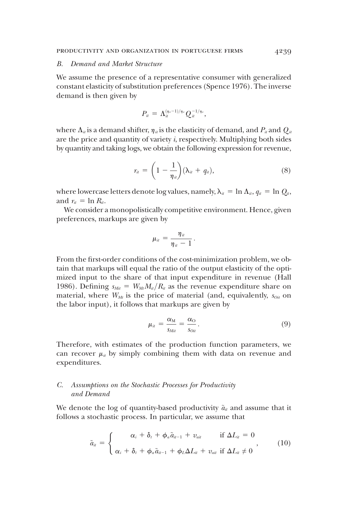#### B. Demand and Market Structure

We assume the presence of a representative consumer with generalized constant elasticity of substitution preferences (Spence 1976). The inverse demand is then given by

$$
P_{it} = \Lambda_{it}^{(\eta_u - 1)/\eta_u} Q_{it}^{-1/\eta_u},
$$

where  $\Lambda_{ii}$  is a demand shifter,  $\eta_{ii}$  is the elasticity of demand, and  $P_{ii}$  and  $Q_{ii}$ are the price and quantity of variety i, respectively. Multiplying both sides by quantity and taking logs, we obtain the following expression for revenue,

$$
r_{ii} = \left(1 - \frac{1}{\eta_{ii}}\right)(\lambda_{ii} + q_{ii}), \tag{8}
$$

where lowercase letters denote log values, namely,  $\lambda_{it} = \ln \Lambda_{it}$ ,  $q_{it} = \ln Q_{it}$ , and  $r_{it} = \ln R_{it}$ .

We consider a monopolistically competitive environment. Hence, given preferences, markups are given by

$$
\mu_{it} = \frac{\eta_{it}}{\eta_{it}-1}.
$$

From the first-order conditions of the cost-minimization problem, we obtain that markups will equal the ratio of the output elasticity of the optimized input to the share of that input expenditure in revenue (Hall 1986). Defining  $s_{\text{Mit}}=W_{\text{Mt}}M_{\text{it}}/R_{\text{it}}$  as the revenue expenditure share on material, where  $W_{Mt}$  is the price of material (and, equivalently,  $s_{0it}$  on the labor input), it follows that markups are given by

$$
\mu_{it} = \frac{\alpha_{\rm M}}{s_{\rm Mi}} = \frac{\alpha_{\rm O}}{s_{\rm Oit}}.\tag{9}
$$

Therefore, with estimates of the production function parameters, we can recover  $\mu_{ii}$  by simply combining them with data on revenue and expenditures.

# C. Assumptions on the Stochastic Processes for Productivity and Demand

We denote the log of quantity-based productivity  $\tilde{a}_{it}$  and assume that it follows a stochastic process. In particular, we assume that

$$
\tilde{a}_{ii} = \begin{cases}\n\alpha_i + \delta_t + \phi_a \tilde{a}_{ii-1} + v_{ait} & \text{if } \Delta L_{ii} = 0 \\
\alpha_i + \delta_t + \phi_a \tilde{a}_{ii-1} + \phi_L \Delta L_{ii} + v_{ait} & \text{if } \Delta L_{ii} \neq 0\n\end{cases}
$$
\n(10)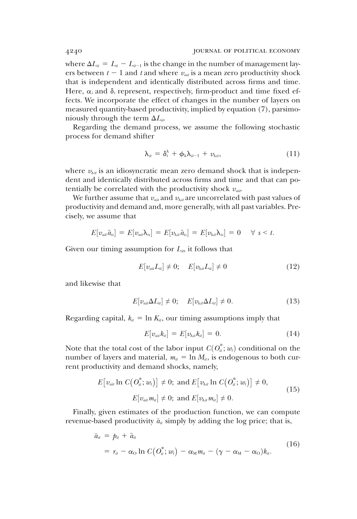where  $\Delta L_{it} = L_{it} - L_{it-1}$  is the change in the number of management layers between  $t - 1$  and t and where  $v_{\alpha i}$  is a mean zero productivity shock that is independent and identically distributed across firms and time. Here,  $\alpha_i$  and  $\delta_t$  represent, respectively, firm-product and time fixed effects. We incorporate the effect of changes in the number of layers on measured quantity-based productivity, implied by equation (7), parsimoniously through the term  $\Delta L_{ii}$ .

Regarding the demand process, we assume the following stochastic process for demand shifter

$$
\lambda_{it} = \delta_t^{\lambda} + \phi_{\lambda} \lambda_{it-1} + v_{\lambda it}, \qquad (11)
$$

where  $v_{\lambda ii}$  is an idiosyncratic mean zero demand shock that is independent and identically distributed across firms and time and that can potentially be correlated with the productivity shock  $v_{air}$ .

We further assume that  $v_{\alpha i}$  and  $v_{\lambda i}$  are uncorrelated with past values of productivity and demand and, more generally, with all past variables. Precisely, we assume that

$$
E[v_{\alpha i i}\tilde{a}_{i s}] = E[v_{\alpha i i}\lambda_{i s}] = E[v_{\lambda i i}\tilde{a}_{i s}] = E[v_{\lambda i i}\lambda_{i s}] = 0 \quad \forall s < t.
$$

Given our timing assumption for  $L_{ii}$ , it follows that

$$
E[v_{\alpha i}L_{ii}] \neq 0; \quad E[v_{\lambda i}L_{ii}] \neq 0 \tag{12}
$$

and likewise that

$$
E[v_{ai}\Delta L_{il}] \neq 0; \quad E[v_{\lambda ii}\Delta L_{il}] \neq 0. \tag{13}
$$

Regarding capital,  $k_{it} = \ln K_{it}$ , our timing assumptions imply that

$$
E[v_{ai}k_{il}] = E[v_{\lambda il}k_{il}] = 0.
$$
\n(14)

Note that the total cost of the labor input  $C(O_{ii}^*; w_i)$  conditional on the number of layers and material  $w_i = \ln M$ , is endogenous to both curnumber of layers and material,  $m_{it} = \ln M_{it}$ , is endogenous to both current productivity and demand shocks, namely,

$$
E[v_{\text{air}} \ln C(O_{\text{a}}^*; w_{\text{t}})] \neq 0; \text{ and } E[v_{\text{A}\text{a}} \ln C(O_{\text{a}}^*; w_{\text{t}})] \neq 0,
$$
  

$$
E[v_{\text{air}} m_{\text{a}}] \neq 0; \text{ and } E[v_{\text{A}\text{a}} m_{\text{a}}] \neq 0.
$$
 (15)

Finally, given estimates of the production function, we can compute revenue-based productivity  $\bar{a}_{it}$  simply by adding the log price; that is,

$$
\bar{a}_{ii} = p_{ii} + \tilde{a}_{ii}
$$
\n
$$
= r_{ii} - \alpha_{\text{O}} \ln C\big(O_{ii}^*; w_{i}\big) - \alpha_{\text{M}} m_{ii} - (\gamma - \alpha_{\text{M}} - \alpha_{\text{O}})k_{ii}.\tag{16}
$$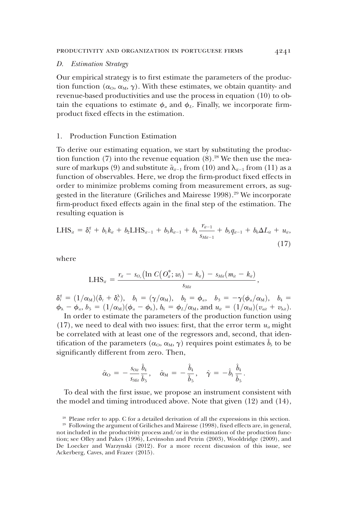#### D. Estimation Strategy

Our empirical strategy is to first estimate the parameters of the production function  $(\alpha_0, \alpha_M, \gamma)$ . With these estimates, we obtain quantity- and revenue-based productivities and use the process in equation (10) to obtain the equations to estimate  $\phi_a$  and  $\phi_L$ . Finally, we incorporate firmproduct fixed effects in the estimation.

## 1. Production Function Estimation

To derive our estimating equation, we start by substituting the production function  $(7)$  into the revenue equation  $(8)$ .<sup>28</sup> We then use the measure of markups (9) and substitute  $\tilde{a}_{i-1}$  from (10) and  $\lambda_{i-1}$  from (11) as a function of observables. Here, we drop the firm-product fixed effects in order to minimize problems coming from measurement errors, as suggested in the literature (Griliches and Mairesse 1998).<sup>29</sup> We incorporate firm-product fixed effects again in the final step of the estimation. The resulting equation is

$$
LHS_{it} = \delta_t^q + b_1 k_{it} + b_2 LHS_{it-1} + b_3 k_{it-1} + b_4 \frac{r_{it-1}}{s_{Mit-1}} + b_5 q_{it-1} + b_6 \Delta L_{it} + u_{it},
$$
\n(17)

where

$$
\text{LHS}_{it} = \frac{r_{it} - s_{O_u}\big(\text{ln} \; C\big(O_{it}^*; w_t\big) - k_{it}\big) - s_{\textit{Mit}}(m_{it} - k_{it})}{s_{\textit{Mit}}}
$$

 $\delta_i^q = (1/\alpha_M)(\delta_i + \delta_i^{\lambda}), \quad b_1 = (\gamma/\alpha_M), \quad b_2 = \phi_a, \quad b_3 = -\gamma(\phi_a/\alpha_M), \quad b_4 = \phi_b, \quad b_5 = (1/\alpha_M)(\phi_b - \phi_b), \quad b_6 = \phi_b/\alpha_M, \quad \text{and } y_b = (1/\alpha_M)(y_b + y_b)$  $\phi_{\lambda} - \phi_a$ ,  $b_5 = (1/\alpha_M)(\phi_a - \phi_{\lambda})$ ,  $b_6 = \phi_L/\alpha_M$ , and  $u_{ii} = (1/\alpha_M)(v_{ai} + v_{\lambda ii})$ .

In order to estimate the parameters of the production function using (17), we need to deal with two issues: first, that the error term  $u_{it}$  might be correlated with at least one of the regressors and, second, that identification of the parameters  $(\alpha_0, \alpha_M, \gamma)$  requires point estimates  $\hat{b}_5$  to be significantly different from zero. Then,

$$
\hat{\alpha}_{\rm O}\,=\,-\,\frac{s_{\rm O\it i}}{s_{\rm Mi}}\frac{\hat{b}_4}{\hat{b}_5}\,,\quad \hat{\alpha}_{\rm M}\,=\,-\,\frac{\hat{b}_4}{\hat{b}_5}\,,\quad \hat{\gamma}\,=\,-\,\hat{b}_1\,\frac{\hat{b}_4}{\hat{b}_5}\,.
$$

To deal with the first issue, we propose an instrument consistent with the model and timing introduced above. Note that given (12) and (14),

,

<sup>&</sup>lt;sup>28</sup> Please refer to app. C for a detailed derivation of all the expressions in this section.

<sup>29</sup> Following the argument of Griliches and Mairesse (1998), fixed effects are, in general, not included in the productivity process and/or in the estimation of the production function; see Olley and Pakes (1996), Levinsohn and Petrin (2003), Wooldridge (2009), and De Loecker and Warzynski (2012). For a more recent discussion of this issue, see Ackerberg, Caves, and Frazer (2015).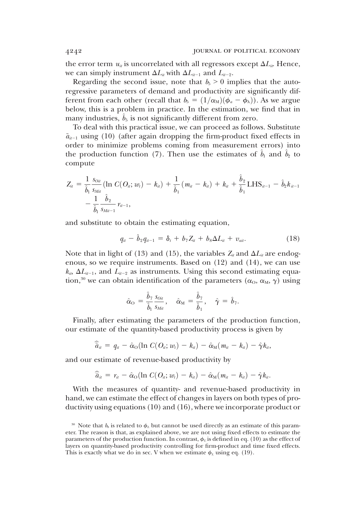the error term  $u_{ii}$  is uncorrelated with all regressors except  $\Delta L_{ii}$ . Hence, we can simply instrument  $\Delta L_i$  with  $\Delta L_{i-1}$  and  $L_{i-2}$ .

Regarding the second issue, note that  $b_5 \geq 0$  implies that the autoregressive parameters of demand and productivity are significantly different from each other (recall that  $b_5 = (1/\alpha_M)(\phi_a - \phi_\lambda)$ ). As we argue below, this is a problem in practice. In the estimation, we find that in many industries,  $\hat{b}_5$  is not significantly different from zero.

To deal with this practical issue, we can proceed as follows. Substitute  $\tilde{a}_{u-1}$  using (10) (after again dropping the firm-product fixed effects in order to minimize problems coming from measurement errors) into the production function (7). Then use the estimates of  $\bar{b}_1$  and  $\bar{b}_2$  to compute

$$
Z_{ii} = \frac{1}{\hat{b}_1} \frac{s_{0ii}}{s_{Mii}} (\ln C(O_{ii}; w_t) - k_{ii}) + \frac{1}{\hat{b}_1} (m_{ii} - k_{ii}) + k_{ii} + \frac{\hat{b}_2}{\hat{b}_1} LHS_{ii-1} - \hat{b}_2 k_{ii-1} - \frac{1}{\hat{b}_1} \frac{\hat{b}_2}{s_{Mii-1}} r_{ii-1},
$$

and substitute to obtain the estimating equation,

$$
q_{it} - \hat{b}_2 q_{it-1} = \delta_t + b_7 Z_{it} + b_8 \Delta L_{it} + v_{ait}. \qquad (18)
$$

Note that in light of (13) and (15), the variables  $Z_u$  and  $\Delta L_u$  are endogenous, so we require instruments. Based on (12) and (14), we can use  $k_{it}$ ,  $\Delta L_{it-1}$ , and  $L_{it-2}$  as instruments. Using this second estimating equation,<sup>30</sup> we can obtain identification of the parameters ( $\alpha_{\text{o}}$ ,  $\alpha_{\text{M}}$ ,  $\gamma$ ) using

$$
\hat{\alpha}_{\rm O} = \frac{\hat{b}_{7}}{\hat{b}_{1}} \frac{s_{0i\iota}}{s_{\text{M}i}}, \quad \hat{\alpha}_{\rm M} = \frac{\hat{b}_{7}}{\hat{b}_{1}}, \quad \hat{\gamma} = \hat{b}_{7}.
$$

Finally, after estimating the parameters of the production function, our estimate of the quantity-based productivity process is given by

$$
\widetilde{a}_{ii} = q_{ii} - \hat{\alpha}_0 (\ln C(O_{ii}; w_i) - k_{ii}) - \hat{\alpha}_{M}(m_{ii} - k_{ii}) - \hat{\gamma} k_{ii},
$$

and our estimate of revenue-based productivity by

$$
\widehat{a}_{ii} = r_u - \hat{\alpha}_0 (\ln C(O_u; w_i) - k_u) - \hat{\alpha}_{M}(m_u - k_u) - \hat{\gamma} k_u.
$$

With the measures of quantity- and revenue-based productivity in hand, we can estimate the effect of changes in layers on both types of productivity using equations (10) and (16), where we incorporate product or

<sup>&</sup>lt;sup>30</sup> Note that  $b_8$  is related to  $\phi_L$  but cannot be used directly as an estimate of this parameter. The reason is that, as explained above, we are not using fixed effects to estimate the parameters of the production function. In contrast,  $\phi_L$  is defined in eq. (10) as the effect of layers on quantity-based productivity controlling for firm-product and time fixed effects. This is exactly what we do in sec. V when we estimate  $\phi_L$  using eq. (19).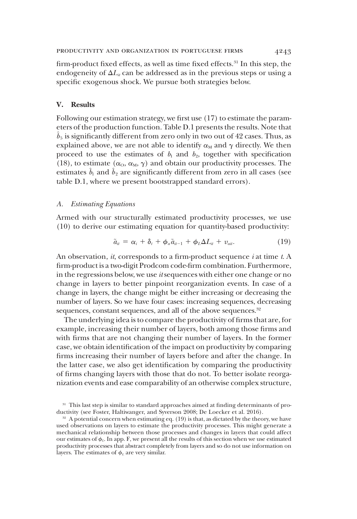firm-product fixed effects, as well as time fixed effects.<sup>31</sup> In this step, the endogeneity of  $\Delta L_i$  can be addressed as in the previous steps or using a specific exogenous shock. We pursue both strategies below.

# V. Results

Following our estimation strategy, we first use (17) to estimate the parameters of the production function. Table D.1 presents the results. Note that  $b_5$  is significantly different from zero only in two out of 42 cases. Thus, as explained above, we are not able to identify  $\alpha_M$  and  $\gamma$  directly. We then proceed to use the estimates of  $b_1$  and  $b_2$ , together with specification (18), to estimate  $(\alpha_{\rm O}, \alpha_{\rm M}, \gamma)$  and obtain our productivity processes. The estimates  $\hat{b}_1$  and  $\hat{b}_2$  are significantly different from zero in all cases (see table D.1, where we present bootstrapped standard errors).

#### A. Estimating Equations

Armed with our structurally estimated productivity processes, we use (10) to derive our estimating equation for quantity-based productivity:

$$
\tilde{a}_{it} = \alpha_i + \delta_t + \phi_a \tilde{a}_{it-1} + \phi_L \Delta L_{it} + v_{ait}.
$$
\n(19)

An observation,  $it$ , corresponds to a firm-product sequence  $i$  at time  $t$ . A firm-product is a two-digit Prodcom code-firm combination. Furthermore, in the regressions below, we use itsequences with either one change or no change in layers to better pinpoint reorganization events. In case of a change in layers, the change might be either increasing or decreasing the number of layers. So we have four cases: increasing sequences, decreasing sequences, constant sequences, and all of the above sequences.<sup>32</sup>

The underlying idea is to compare the productivity of firms that are, for example, increasing their number of layers, both among those firms and with firms that are not changing their number of layers. In the former case, we obtain identification of the impact on productivity by comparing firms increasing their number of layers before and after the change. In the latter case, we also get identification by comparing the productivity of firms changing layers with those that do not. To better isolate reorganization events and ease comparability of an otherwise complex structure,

<sup>&</sup>lt;sup>31</sup> This last step is similar to standard approaches aimed at finding determinants of productivity (see Foster, Haltiwanger, and Syverson 2008; De Loecker et al. 2016).

<sup>&</sup>lt;sup>32</sup> A potential concern when estimating eq. (19) is that, as dictated by the theory, we have used observations on layers to estimate the productivity processes. This might generate a mechanical relationship between those processes and changes in layers that could affect our estimates of  $\phi_L$ . In app. F, we present all the results of this section when we use estimated productivity processes that abstract completely from layers and so do not use information on layers. The estimates of  $\phi_L$  are very similar.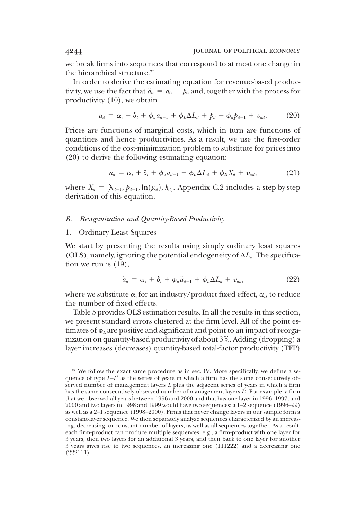we break firms into sequences that correspond to at most one change in the hierarchical structure.<sup>33</sup>

In order to derive the estimating equation for revenue-based productivity, we use the fact that  $\tilde{a}_{it} = \bar{a}_{it} - p_{it}$  and, together with the process for productivity (10), we obtain

$$
\bar{a}_{ii} = \alpha_i + \delta_t + \phi_a \bar{a}_{it-1} + \phi_L \Delta L_{it} + p_{it} - \phi_a p_{it-1} + v_{ait}. \qquad (20)
$$

Prices are functions of marginal costs, which in turn are functions of quantities and hence productivities. As a result, we use the first-order conditions of the cost-minimization problem to substitute for prices into (20) to derive the following estimating equation:

$$
\bar{a}_{it} = \bar{\alpha}_i + \bar{\delta}_t + \bar{\phi}_a \bar{a}_{it-1} + \bar{\phi}_L \Delta L_{it} + \bar{\phi}_R X_{it} + v_{\bar{a}it}, \qquad (21)
$$

where  $X_{it} = [\lambda_{it-1}, \hat{p}_{it-1}, \ln(\mu_{it}), k_{it}]$ . Appendix C.2 includes a step-by-step derivation of this equation derivation of this equation.

## B. Reorganization and Quantity-Based Productivity

#### 1. Ordinary Least Squares

We start by presenting the results using simply ordinary least squares (OLS), namely, ignoring the potential endogeneity of  $\Delta L_i$ . The specification we run is (19),

$$
\tilde{a}_{it} = \alpha_s + \delta_t + \phi_a \tilde{a}_{it-1} + \phi_L \Delta L_{it} + v_{ait}, \qquad (22)
$$

where we substitute  $\alpha_i$  for an industry/product fixed effect,  $\alpha_s$ , to reduce the number of fixed effects.

Table 5 provides OLS estimation results. In all the results in this section, we present standard errors clustered at the firm level. All of the point estimates of  $\phi_L$  are positive and significant and point to an impact of reorganization on quantity-based productivity of about 3%. Adding (dropping) a layer increases (decreases) quantity-based total-factor productivity (TFP)

<sup>&</sup>lt;sup>33</sup> We follow the exact same procedure as in sec. IV. More specifically, we define a sequence of type  $L-L'$  as the series of years in which a firm has the same consecutively observed number of management layers L plus the adjacent series of years in which a firm has the same consecutively observed number of management layers  $L'$ . For example, a firm that we observed all years between 1996 and 2000 and that has one layer in 1996, 1997, and 2000 and two layers in 1998 and 1999 would have two sequences: a 1–2 sequence (1996–99) as well as a 2–1 sequence (1998–2000). Firms that never change layers in our sample form a constant-layer sequence. We then separately analyze sequences characterized by an increasing, decreasing, or constant number of layers, as well as all sequences together. As a result, each firm-product can produce multiple sequences: e.g., a firm-product with one layer for 3 years, then two layers for an additional 3 years, and then back to one layer for another 3 years gives rise to two sequences, an increasing one (111222) and a decreasing one (222111).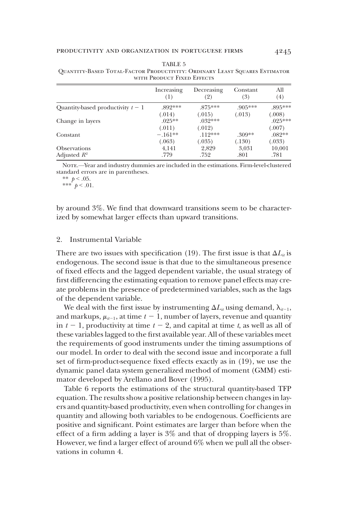|                                   | Increasing<br>(1) | Decreasing<br>(2) | Constant<br>(3) | All<br>(4) |
|-----------------------------------|-------------------|-------------------|-----------------|------------|
| Quantity-based productivity $t-1$ | $.892***$         | $875***$          | $.905***$       | .895***    |
|                                   | (.014)            | (.015)            | (.013)          | (.008)     |
| Change in layers                  | $.025**$          | $.032***$         |                 | $.025***$  |
|                                   | (.011)            | (.012)            |                 | (.007)     |
| Constant                          | $-.161**$         | $.112***$         | $.309**$        | $.082**$   |
|                                   | (.063)            | (.035)            | (.130)          | (.033)     |
| <b>Observations</b>               | 4,141             | 2,829             | 3,031           | 10,001     |
| Adjusted $R^2$                    | .779              | .752              | .801            | .781       |

| TABLE 5                                                                    |  |
|----------------------------------------------------------------------------|--|
| QUANTITY-BASED TOTAL-FACTOR PRODUCTIVITY: ORDINARY LEAST SQUARES ESTIMATOR |  |
| WITH PRODUCT FIXED EFFECTS                                                 |  |

Note.—Year and industry dummies are included in the estimations. Firm-level-clustered standard errors are in parentheses.

\*\*  $p < .05$ .

\*\*\*  $p < .01$ .

by around 3%. We find that downward transitions seem to be characterized by somewhat larger effects than upward transitions.

# 2. Instrumental Variable

There are two issues with specification (19). The first issue is that  $\Delta L_{ii}$  is endogenous. The second issue is that due to the simultaneous presence of fixed effects and the lagged dependent variable, the usual strategy of first differencing the estimating equation to remove panel effects may create problems in the presence of predetermined variables, such as the lags of the dependent variable.

We deal with the first issue by instrumenting  $\Delta L_i$  using demand,  $\lambda_{i-1}$ , and markups,  $\mu_{it-1}$ , at time  $t - 1$ , number of layers, revenue and quantity in  $t - 1$ , productivity at time  $t - 2$ , and capital at time t, as well as all of these variables lagged to the first available year. All of these variables meet the requirements of good instruments under the timing assumptions of our model. In order to deal with the second issue and incorporate a full set of firm-product-sequence fixed effects exactly as in (19), we use the dynamic panel data system generalized method of moment (GMM) estimator developed by Arellano and Bover (1995).

Table 6 reports the estimations of the structural quantity-based TFP equation. The results show a positive relationship between changes in layers and quantity-based productivity, even when controlling for changes in quantity and allowing both variables to be endogenous. Coefficients are positive and significant. Point estimates are larger than before when the effect of a firm adding a layer is 3% and that of dropping layers is 5%. However, we find a larger effect of around 6% when we pull all the observations in column 4.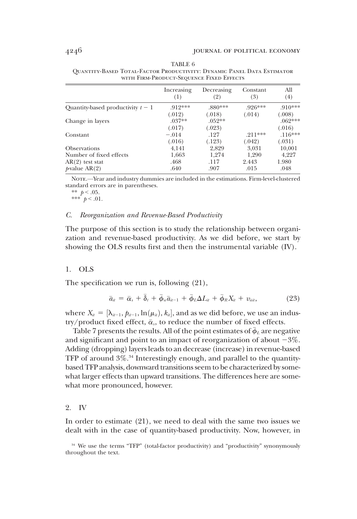|                                   | Increasing<br>(1) | Decreasing<br>(2) | Constant<br>(3) | All<br>(4) |
|-----------------------------------|-------------------|-------------------|-----------------|------------|
| Quantity-based productivity $t-1$ | 919***            | .880***           | $.926***$       | $.910***$  |
|                                   | (.012)            | (.018)            | (.014)          | (.008)     |
| Change in layers                  | $.037**$          | $.052**$          |                 | $.062***$  |
|                                   | (.017)            | (.023)            |                 | (.016)     |
| Constant                          | $-.014$           | .127              | $.211***$       | $.116***$  |
|                                   | (.016)            | (.123)            | (.042)          | (.031)     |
| <b>Observations</b>               | 4,141             | 2,829             | 3,031           | 10,001     |
| Number of fixed effects           | 1,663             | 1,274             | 1,290           | 4,227      |
| $AR(2)$ test stat                 | .468              | .117              | 2.443           | 1.980      |
| $p$ -value AR $(2)$               | .640              | .907              | .015            | .048       |

TABLE 6 Quantity-Based Total-Factor Productivity: Dynamic Panel Data Estimator with Firm-Product-Sequence Fixed Effects

Note.—Year and industry dummies are included in the estimations. Firm-level-clustered standard errors are in parentheses.

\*\*  $p < .05$ . \*\*\*  $p < .01$ .

#### C. Reorganization and Revenue-Based Productivity

The purpose of this section is to study the relationship between organization and revenue-based productivity. As we did before, we start by showing the OLS results first and then the instrumental variable (IV).

#### 1. OLS

The specification we run is, following (21),

$$
\bar{a}_{ii} = \bar{\alpha}_s + \bar{\delta}_t + \bar{\phi}_a \bar{a}_{it-1} + \bar{\phi}_L \Delta L_{it} + \bar{\phi}_R X_{it} + v_{\bar{a}it},
$$
\n(23)

where  $X_{ii} = [\lambda_{ii-1}, \beta_{ii-1}, \ln(\mu_{ii}), k_{ii}]$ , and as we did before, we use an indus-<br>try/product fixed effect  $\bar{\alpha}$  to reduce the number of fixed effects try/product fixed effect,  $\bar{\alpha}_s$ , to reduce the number of fixed effects.

Table 7 presents the results. All of the point estimates of  $\bar{\phi}_L$  are negative and significant and point to an impact of reorganization of about  $-3\%$ . Adding (dropping) layers leads to an decrease (increase) in revenue-based TFP of around  $3\%$ .<sup>34</sup> Interestingly enough, and parallel to the quantitybased TFP analysis, downward transitions seem to be characterized by somewhat larger effects than upward transitions. The differences here are somewhat more pronounced, however.

### 2. IV

In order to estimate (21), we need to deal with the same two issues we dealt with in the case of quantity-based productivity. Now, however, in

<sup>&</sup>lt;sup>34</sup> We use the terms "TFP" (total-factor productivity) and "productivity" synonymously throughout the text.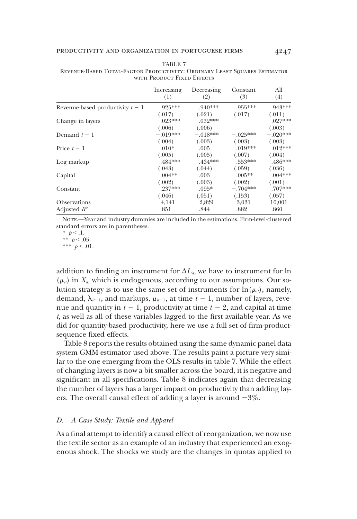|                                  | Increasing<br>(1) | Decreasing<br>(2) | Constant<br>(3) | All<br>(4) |
|----------------------------------|-------------------|-------------------|-----------------|------------|
| Revenue-based productivity $t-1$ | $.925***$         | $.940***$         | $.955***$       | $.943***$  |
|                                  | (.017)            | (.021)            | (.017)          | (.011)     |
| Change in layers                 | $-.023***$        | $-.032***$        |                 | $-.027***$ |
|                                  | (.006)            | (.006)            |                 | (.003)     |
| Demand $t-1$                     | $-.019***$        | $-.018***$        | $-.025***$      | $-.020***$ |
|                                  | (.004)            | (.003)            | (.003)          | (.003)     |
| Price $t-1$                      | $.010*$           | .005              | $.019***$       | $.012***$  |
|                                  | (.005)            | (.005)            | (.007)          | (.004)     |
| Log markup                       | .484***           | $.434***$         | $.553***$       | .486***    |
|                                  | (.043)            | (.044)            | (.059)          | (.036)     |
| Capital                          | $.004**$          | .003              | $.005**$        | $.004***$  |
|                                  | (.002)            | (.003)            | (.002)          | (.001)     |
| Constant                         | .237***           | $.095*$           | $-.704***$      | $.707***$  |
|                                  | (.046)            | (.051)            | (.153)          | (.057)     |
| <b>Observations</b>              | 4,141             | 2,829             | 3,031           | 10,001     |
| Adjusted $R^2$                   | .851              | .844              | .882            | .860       |

TABLE 7 Revenue-Based Total-Factor Productivity: Ordinary Least Squares Estimator with Product Fixed Effects

NOTE.—Year and industry dummies are included in the estimations. Firm-level-clustered standard errors are in parentheses.

\*\*\*  $p < .01$ .

addition to finding an instrument for  $\Delta L_i$ , we have to instrument for ln  $(\mu_{ii})$  in  $X_{ii}$ , which is endogenous, according to our assumptions. Our solution strategy is to use the same set of instruments for  $\ln(\mu_{ii})$ , namely, demand,  $\lambda_{i-1}$ , and markups,  $\mu_{i-1}$ , at time  $t - 1$ , number of layers, revenue and quantity in  $t - 1$ , productivity at time  $t - 2$ , and capital at time t, as well as all of these variables lagged to the first available year. As we did for quantity-based productivity, here we use a full set of firm-productsequence fixed effects.

Table 8 reports the results obtained using the same dynamic panel data system GMM estimator used above. The results paint a picture very similar to the one emerging from the OLS results in table 7. While the effect of changing layers is now a bit smaller across the board, it is negative and significant in all specifications. Table 8 indicates again that decreasing the number of layers has a larger impact on productivity than adding layers. The overall causal effect of adding a layer is around  $-3\%$ .

#### D. A Case Study: Textile and Apparel

As a final attempt to identify a causal effect of reorganization, we now use the textile sector as an example of an industry that experienced an exogenous shock. The shocks we study are the changes in quotas applied to

<sup>\*</sup>  $p < .1$ . \*\*  $p < .05$ .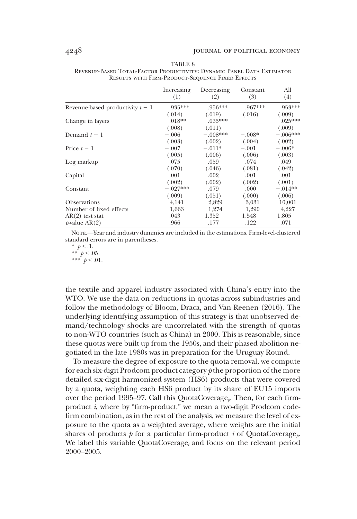|                                  | Increasing<br>(1) | Decreasing<br>(2) | Constant<br>(3) | All<br>(4) |
|----------------------------------|-------------------|-------------------|-----------------|------------|
| Revenue-based productivity $t-1$ | .935***           | $.956***$         | $.967***$       | .953***    |
|                                  | (.014)            | (.019)            | (.016)          | (.009)     |
| Change in layers                 | $-.018**$         | $-.035***$        |                 | $-.025***$ |
|                                  | (.008)            | (.011)            |                 | (.009)     |
| Demand $t-1$                     | $-.006$           | $-.008***$        | $-.008*$        | $-.006***$ |
|                                  | (.003)            | (.002)            | (.004)          | (.002)     |
| Price $t-1$                      | $-.007$           | $-.011*$          | $-.001$         | $-.006*$   |
|                                  | (.005)            | (.006)            | (.006)          | (.003)     |
| Log markup                       | .075              | .059              | .074            | .049       |
|                                  | (.070)            | (.046)            | (.081)          | (.042)     |
| Capital                          | .001              | .002              | .001            | .001       |
|                                  | (.002)            | (.002)            | (.002)          | (.001)     |
| Constant                         | $-.027***$        | .079              | .000.           | $-.014**$  |
|                                  | (.009)            | (.051)            | (.000)          | (.006)     |
| <b>Observations</b>              | 4,141             | 2,829             | 3,031           | 10,001     |
| Number of fixed effects          | 1,663             | 1,274             | 1,290           | 4,227      |
| $AR(2)$ test stat                | .043              | 1.352             | 1.548           | 1.805      |
| $p$ -value AR $(2)$              | .966              | .177              | .122            | .071       |

TABLE 8 Revenue-Based Total-Factor Productivity: Dynamic Panel Data Estimator Results with Firm-Product-Sequence Fixed Effects

Note.—Year and industry dummies are included in the estimations. Firm-level-clustered standard errors are in parentheses.

the textile and apparel industry associated with China's entry into the WTO. We use the data on reductions in quotas across subindustries and follow the methodology of Bloom, Draca, and Van Reenen (2016). The underlying identifying assumption of this strategy is that unobserved demand/technology shocks are uncorrelated with the strength of quotas to non-WTO countries (such as China) in 2000. This is reasonable, since these quotas were built up from the 1950s, and their phased abolition negotiated in the late 1980s was in preparation for the Uruguay Round.

To measure the degree of exposure to the quota removal, we compute for each six-digit Prodcom product category  $p$  the proportion of the more detailed six-digit harmonized system (HS6) products that were covered by a quota, weighting each HS6 product by its share of EU15 imports over the period 1995–97. Call this QuotaCoverage<sub> $\nu$ </sub>. Then, for each firmproduct i, where by "firm-product," we mean a two-digit Prodcom codefirm combination, as in the rest of the analysis, we measure the level of exposure to the quota as a weighted average, where weights are the initial shares of products  $p$  for a particular firm-product i of QuotaCoverage<sub>t</sub>. We label this variable QuotaCoverage<sub>i</sub> and focus on the relevant period 2000–2005.

<sup>\*</sup>  $p < 0.1$ . \*\*  $p < .05$ . \*\*\*  $p < .01$ .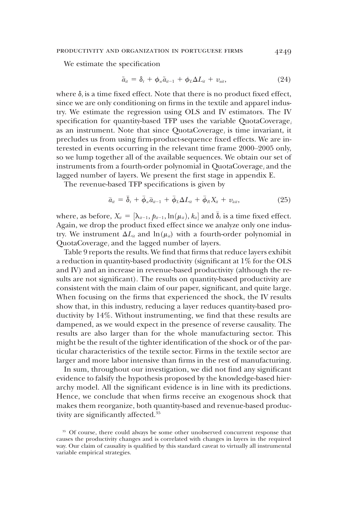We estimate the specification

$$
\tilde{a}_{it} = \delta_t + \phi_a \tilde{a}_{it-1} + \phi_L \Delta L_{it} + v_{ait}, \qquad (24)
$$

where  $\delta_i$  is a time fixed effect. Note that there is no product fixed effect, since we are only conditioning on firms in the textile and apparel industry. We estimate the regression using OLS and IV estimators. The IV specification for quantity-based TFP uses the variable QuotaCoverage<sub>i</sub> as an instrument. Note that since QuotaCoverage, is time invariant, it precludes us from using firm-product-sequence fixed effects. We are interested in events occurring in the relevant time frame 2000–2005 only, so we lump together all of the available sequences. We obtain our set of instruments from a fourth-order polynomial in QuotaCoverage<sub>i</sub> and the lagged number of layers. We present the first stage in appendix E.

The revenue-based TFP specifications is given by

$$
\bar{a}_{ii} = \bar{\delta}_t + \bar{\phi}_a \bar{a}_{ii-1} + \bar{\phi}_L \Delta L_{it} + \bar{\phi}_R X_{it} + v_{\bar{a}it}, \qquad (25)
$$

where, as before,  $X_{it} = [\lambda_{it-1}, \hat{p}_{it-1}, \ln(\mu_{it}), k_{it}]$  and  $\overline{\delta}_t$  is a time fixed effect. Again, we drop the product fixed effect since we analyze only one industry. We instrument  $\Delta L_i$  and  $\ln(\mu_i)$  with a fourth-order polynomial in QuotaCoverage, and the lagged number of layers.

Table 9 reports the results. We find that firms that reduce layers exhibit a reduction in quantity-based productivity (significant at 1% for the OLS and IV) and an increase in revenue-based productivity (although the results are not significant). The results on quantity-based productivity are consistent with the main claim of our paper, significant, and quite large. When focusing on the firms that experienced the shock, the IV results show that, in this industry, reducing a layer reduces quantity-based productivity by 14%. Without instrumenting, we find that these results are dampened, as we would expect in the presence of reverse causality. The results are also larger than for the whole manufacturing sector. This might be the result of the tighter identification of the shock or of the particular characteristics of the textile sector. Firms in the textile sector are larger and more labor intensive than firms in the rest of manufacturing.

In sum, throughout our investigation, we did not find any significant evidence to falsify the hypothesis proposed by the knowledge-based hierarchy model. All the significant evidence is in line with its predictions. Hence, we conclude that when firms receive an exogenous shock that makes them reorganize, both quantity-based and revenue-based productivity are significantly affected.35

<sup>35</sup> Of course, there could always be some other unobserved concurrent response that causes the productivity changes and is correlated with changes in layers in the required way. Our claim of causality is qualified by this standard caveat to virtually all instrumental variable empirical strategies.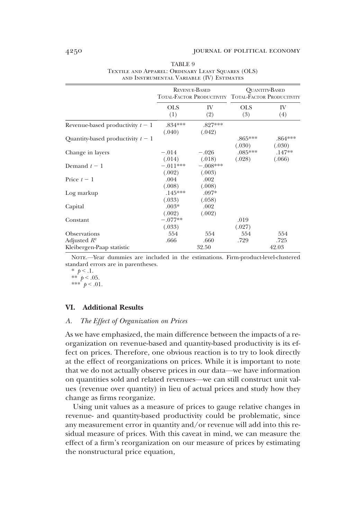|                                       | <b>REVENUE-BASED</b><br>TOTAL-FACTOR PRODUCTIVITY TOTAL-FACTOR PRODUCTIVITY |                      |                     | <b>QUANTITY-BASED</b> |
|---------------------------------------|-----------------------------------------------------------------------------|----------------------|---------------------|-----------------------|
|                                       | <b>OLS</b><br>(1)                                                           | IV<br>(2)            | <b>OLS</b><br>(3)   | IV<br>(4)             |
| Revenue-based productivity $t-1$      | $.834***$<br>(.040)                                                         | $.827***$<br>(.042)  |                     |                       |
| Quantity-based productivity $t-1$     |                                                                             |                      | $.865***$<br>(.030) | $.864***$<br>(.030)   |
| Change in layers                      | $-.014$<br>(.014)                                                           | $-.026$<br>(.018)    | $.085***$<br>(.028) | $.147**$<br>(.066)    |
| Demand $t-1$                          | $-.011***$<br>(.002)                                                        | $-.008***$<br>(.003) |                     |                       |
| Price $t-1$                           | .004<br>(.008)                                                              | .002<br>(.008)       |                     |                       |
| Log markup                            | $.145***$<br>(.033)                                                         | $.097*$<br>(.058)    |                     |                       |
| Capital                               | $.003*$<br>(.002)                                                           | .002<br>(.002)       |                     |                       |
| Constant                              | $-.077**$<br>(.033)                                                         |                      | .019<br>(.027)      |                       |
| <b>Observations</b><br>Adjusted $R^2$ | 554<br>.666                                                                 | 554<br>.660          | 554<br>.729         | 554<br>.725           |
| Kleibergen-Paap statistic             |                                                                             | 32.50                |                     | 42.03                 |

TABLE 9 Textile and Apparel: Ordinary Least Squares (OLS) and Instrumental Variable (IV) Estimates

NOTE.—Year dummies are included in the estimations. Firm-product-level-clustered standard errors are in parentheses.

\*  $p < 1$ . \*\*  $p < .05$ . \*\*\*  $p < .01$ .

# VI. Additional Results

#### A. The Effect of Organization on Prices

As we have emphasized, the main difference between the impacts of a reorganization on revenue-based and quantity-based productivity is its effect on prices. Therefore, one obvious reaction is to try to look directly at the effect of reorganizations on prices. While it is important to note that we do not actually observe prices in our data—we have information on quantities sold and related revenues—we can still construct unit values (revenue over quantity) in lieu of actual prices and study how they change as firms reorganize.

Using unit values as a measure of prices to gauge relative changes in revenue- and quantity-based productivity could be problematic, since any measurement error in quantity and/or revenue will add into this residual measure of prices. With this caveat in mind, we can measure the effect of a firm's reorganization on our measure of prices by estimating the nonstructural price equation,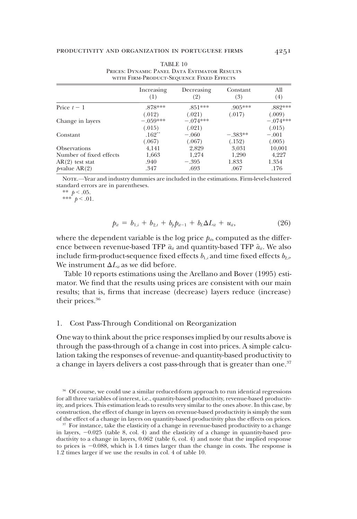|                         | Increasing<br>(1) | Decreasing<br>(2) | Constant<br>(3) | A11<br>(4) |
|-------------------------|-------------------|-------------------|-----------------|------------|
| Price $t-1$             | $878***$          | $851***$          | $.905***$       | .882***    |
|                         | (.012)            | (.021)            | (.017)          | (.009)     |
| Change in layers        | $-.059***$        | $-.074***$        |                 | $-074***$  |
|                         | (.015)            | (.021)            |                 | (.015)     |
| Constant                | $.162**$          | $-.060$           | $-.383**$       | $-.001$    |
|                         | (.067)            | (.067)            | (.152)          | (.005)     |
| <b>Observations</b>     | 4.141             | 2,829             | 3,031           | 10,001     |
| Number of fixed effects | 1,663             | 1,274             | 1,290           | 4,227      |
| $AR(2)$ test stat       | .940              | $-.395$           | 1.833           | 1.354      |
| $p$ -value AR $(2)$     | .347              | .693              | .067            | .176       |

TABLE 10 Prices: Dynamic Panel Data Estimator Results with Firm-Product-Sequence Fixed Effects

Note.—Year and industry dummies are included in the estimations. Firm-level-clustered standard errors are in parentheses.

\*\*  $p < .05$ .

\*\*\*  $p < .01$ .

$$
p_{it} = b_{1,i} + b_{2,t} + b_p p_{it-1} + b_L \Delta L_{it} + u_{it}, \qquad (26)
$$

where the dependent variable is the log price  $p_{i}$ , computed as the difference between revenue-based TFP  $\bar{a}_{ii}$  and quantity-based TFP  $\tilde{a}_{ii}$ . We also include firm-product-sequence fixed effects  $b_{1,i}$  and time fixed effects  $b_{2,i}$ . We instrument  $\Delta L_i$  as we did before.

Table 10 reports estimations using the Arellano and Bover (1995) estimator. We find that the results using prices are consistent with our main results; that is, firms that increase (decrease) layers reduce (increase) their prices.<sup>36</sup>

## 1. Cost Pass-Through Conditional on Reorganization

One way to think about the price responses implied by our results above is through the pass-through of a change in cost into prices. A simple calculation taking the responses of revenue- and quantity-based productivity to a change in layers delivers a cost pass-through that is greater than one.<sup>37</sup>

<sup>&</sup>lt;sup>36</sup> Of course, we could use a similar reduced-form approach to run identical regressions for all three variables of interest, i.e., quantity-based productivity, revenue-based productivity, and prices. This estimation leads to results very similar to the ones above. In this case, by construction, the effect of change in layers on revenue-based productivity is simply the sum of the effect of a change in layers on quantity-based productivity plus the effects on prices.

<sup>&</sup>lt;sup>37</sup> For instance, take the elasticity of a change in revenue-based productivity to a change in layers,  $-0.025$  (table 8, col. 4) and the elasticity of a change in quantity-based productivity to a change in layers, 0.062 (table 6, col. 4) and note that the implied response to prices is  $-0.088$ , which is 1.4 times larger than the change in costs. The response is 1.2 times larger if we use the results in col. 4 of table 10.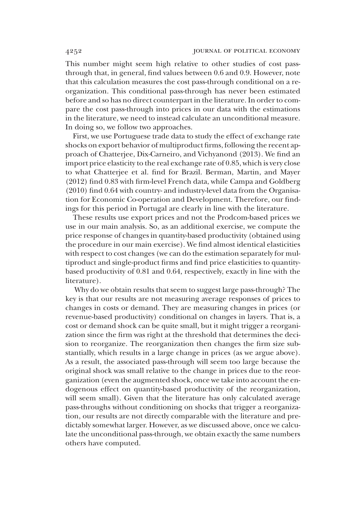This number might seem high relative to other studies of cost passthrough that, in general, find values between 0.6 and 0.9. However, note that this calculation measures the cost pass-through conditional on a reorganization. This conditional pass-through has never been estimated before and so has no direct counterpart in the literature. In order to compare the cost pass-through into prices in our data with the estimations in the literature, we need to instead calculate an unconditional measure. In doing so, we follow two approaches.

First, we use Portuguese trade data to study the effect of exchange rate shocks on export behavior of multiproduct firms, following the recent approach of Chatterjee, Dix-Carneiro, and Vichyanond (2013). We find an import price elasticity to the real exchange rate of 0.85, which is very close to what Chatterjee et al. find for Brazil. Berman, Martin, and Mayer (2012) find 0.83 with firm-level French data, while Campa and Goldberg (2010) find 0.64 with country- and industry-level data from the Organisation for Economic Co-operation and Development. Therefore, our findings for this period in Portugal are clearly in line with the literature.

These results use export prices and not the Prodcom-based prices we use in our main analysis. So, as an additional exercise, we compute the price response of changes in quantity-based productivity (obtained using the procedure in our main exercise). We find almost identical elasticities with respect to cost changes (we can do the estimation separately for multiproduct and single-product firms and find price elasticities to quantitybased productivity of 0.81 and 0.64, respectively, exactly in line with the literature).

Why do we obtain results that seem to suggest large pass-through? The key is that our results are not measuring average responses of prices to changes in costs or demand. They are measuring changes in prices (or revenue-based productivity) conditional on changes in layers. That is, a cost or demand shock can be quite small, but it might trigger a reorganization since the firm was right at the threshold that determines the decision to reorganize. The reorganization then changes the firm size substantially, which results in a large change in prices (as we argue above). As a result, the associated pass-through will seem too large because the original shock was small relative to the change in prices due to the reorganization (even the augmented shock, once we take into account the endogenous effect on quantity-based productivity of the reorganization, will seem small). Given that the literature has only calculated average pass-throughs without conditioning on shocks that trigger a reorganization, our results are not directly comparable with the literature and predictably somewhat larger. However, as we discussed above, once we calculate the unconditional pass-through, we obtain exactly the same numbers others have computed.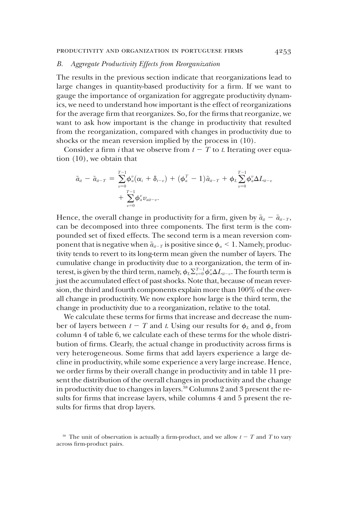## B. Aggregate Productivity Effects from Reorganization

The results in the previous section indicate that reorganizations lead to large changes in quantity-based productivity for a firm. If we want to gauge the importance of organization for aggregate productivity dynamics, we need to understand how important is the effect of reorganizations for the average firm that reorganizes. So, for the firms that reorganize, we want to ask how important is the change in productivity that resulted from the reorganization, compared with changes in productivity due to shocks or the mean reversion implied by the process in (10).

Consider a firm *i* that we observe from  $t - T$  to *t*. Iterating over equation (10), we obtain that

$$
\begin{array}{ll}\tilde{a}_{il}-\tilde{a}_{il-T}=\sum\limits_{v=0}^{T-1}\!\!\!\varphi_{a}^v(\alpha_i+\delta_{l-v})+(\varphi_{a}^T-1)\tilde{a}_{il-T}+\varphi_{L}\!\!\sum\limits_{v=0}^{T-1}\!\!\!\varphi_{a}^v\Delta L_{il-v}\\+\sum\limits_{v=0}^{T-1}\!\!\!\varphi_{a}^v v_{ali-v}.\end{array}
$$

Hence, the overall change in productivity for a firm, given by  $\tilde{a}_{it} - \tilde{a}_{it-T}$ , can be decomposed into three components. The first term is the compounded set of fixed effects. The second term is a mean reversion component that is negative when  $\tilde{a}_{it-T}$  is positive since  $\phi_a \leq 1$ . Namely, productivity tends to revert to its long-term mean given the number of layers. The cumulative change in productivity due to a reorganization, the term of interest, is given by the third term, namely,  $\phi_L \Sigma_{v=0}^{T-1} \phi_u^v \Delta L_{u-v}$ . The fourth term is just the accumulated effect of past shocks. Note that, because of mean reversion, the third and fourth components explain more than 100% of the overall change in productivity. We now explore how large is the third term, the change in productivity due to a reorganization, relative to the total.

We calculate these terms for firms that increase and decrease the number of layers between  $t - T$  and t. Using our results for  $\phi_L$  and  $\phi_a$  from column 4 of table 6, we calculate each of these terms for the whole distribution of firms. Clearly, the actual change in productivity across firms is very heterogeneous. Some firms that add layers experience a large decline in productivity, while some experience a very large increase. Hence, we order firms by their overall change in productivity and in table 11 present the distribution of the overall changes in productivity and the change in productivity due to changes in layers.<sup>38</sup> Columns 2 and 3 present the results for firms that increase layers, while columns 4 and 5 present the results for firms that drop layers.

<sup>&</sup>lt;sup>38</sup> The unit of observation is actually a firm-product, and we allow  $t - T$  and T to vary across firm-product pairs.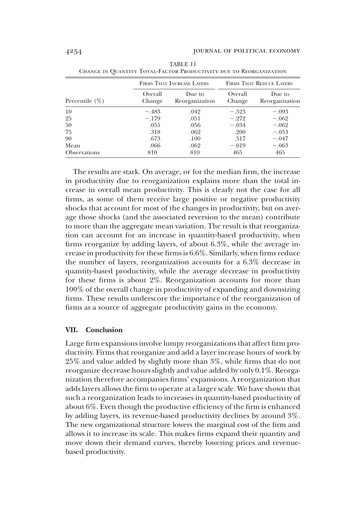|                     |                   | FIRMS THAT INCREASE LAYERS |                   | <b>FIRMS THAT REDUCE LAYERS</b> |
|---------------------|-------------------|----------------------------|-------------------|---------------------------------|
| Percentile $(\%)$   | Overall<br>Change | Due to<br>Reorganization   | Overall<br>Change | Due to<br>Reorganization        |
| 10                  | $-.483$           | .042                       | $-.523$           | $-.093$                         |
| 25                  | $-.179$           | .051                       | $-.272$           | $-.062$                         |
| 50                  | .055              | .056                       | $-.034$           | $-.062$                         |
| 75                  | .318              | .062                       | .200              | $-.053$                         |
| 90                  | .673              | .100                       | .517              | $-.047$                         |
| Mean                | .066              | .062                       | $-.019$           | $-.063$                         |
| <b>Observations</b> | 810               | 810                        | 465               | 465                             |

TABLE 11 Change in Quantity Total-Factor Productivity due to Reorganization

The results are stark. On average, or for the median firm, the increase in productivity due to reorganization explains more than the total increase in overall mean productivity. This is clearly not the case for all firms, as some of them receive large positive or negative productivity shocks that account for most of the changes in productivity, but on average those shocks (and the associated reversion to the mean) contribute to more than the aggregate mean variation. The result is that reorganization can account for an increase in quantity-based productivity, when firms reorganize by adding layers, of about 6.3%, while the average increase in productivity for these firms is 6.6%. Similarly, when firms reduce the number of layers, reorganization accounts for a 6.3% decrease in quantity-based productivity, while the average decrease in productivity for these firms is about 2%. Reorganization accounts for more than 100% of the overall change in productivity of expanding and downsizing firms. These results underscore the importance of the reorganization of firms as a source of aggregate productivity gains in the economy.

#### VII. Conclusion

Large firm expansions involve lumpy reorganizations that affect firm productivity. Firms that reorganize and add a layer increase hours of work by 25% and value added by slightly more than 3%, while firms that do not reorganize decrease hours slightly and value added by only 0.1%. Reorganization therefore accompanies firms' expansions. A reorganization that adds layers allows the firm to operate at a larger scale. We have shown that such a reorganization leads to increases in quantity-based productivity of about 6%. Even though the productive efficiency of the firm is enhanced by adding layers, its revenue-based productivity declines by around 3%. The new organizational structure lowers the marginal cost of the firm and allows it to increase its scale. This makes firms expand their quantity and move down their demand curves, thereby lowering prices and revenuebased productivity.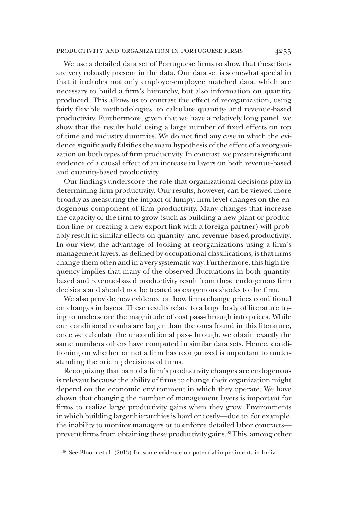#### productivity and organization in portuguese firms 4255

We use a detailed data set of Portuguese firms to show that these facts are very robustly present in the data. Our data set is somewhat special in that it includes not only employer-employee matched data, which are necessary to build a firm's hierarchy, but also information on quantity produced. This allows us to contrast the effect of reorganization, using fairly flexible methodologies, to calculate quantity- and revenue-based productivity. Furthermore, given that we have a relatively long panel, we show that the results hold using a large number of fixed effects on top of time and industry dummies. We do not find any case in which the evidence significantly falsifies the main hypothesis of the effect of a reorganization on both types of firm productivity. In contrast, we present significant evidence of a causal effect of an increase in layers on both revenue-based and quantity-based productivity.

Our findings underscore the role that organizational decisions play in determining firm productivity. Our results, however, can be viewed more broadly as measuring the impact of lumpy, firm-level changes on the endogenous component of firm productivity. Many changes that increase the capacity of the firm to grow (such as building a new plant or production line or creating a new export link with a foreign partner) will probably result in similar effects on quantity- and revenue-based productivity. In our view, the advantage of looking at reorganizations using a firm's management layers, as defined by occupational classifications, is that firms change them often and in a very systematic way. Furthermore, this high frequency implies that many of the observed fluctuations in both quantitybased and revenue-based productivity result from these endogenous firm decisions and should not be treated as exogenous shocks to the firm.

We also provide new evidence on how firms change prices conditional on changes in layers. These results relate to a large body of literature trying to underscore the magnitude of cost pass-through into prices. While our conditional results are larger than the ones found in this literature, once we calculate the unconditional pass-through, we obtain exactly the same numbers others have computed in similar data sets. Hence, conditioning on whether or not a firm has reorganized is important to understanding the pricing decisions of firms.

Recognizing that part of a firm's productivity changes are endogenous is relevant because the ability of firms to change their organization might depend on the economic environment in which they operate. We have shown that changing the number of management layers is important for firms to realize large productivity gains when they grow. Environments in which building larger hierarchies is hard or costly—due to, for example, the inability to monitor managers or to enforce detailed labor contracts prevent firms from obtaining these productivity gains.<sup>39</sup> This, among other

<sup>39</sup> See Bloom et al. (2013) for some evidence on potential impediments in India.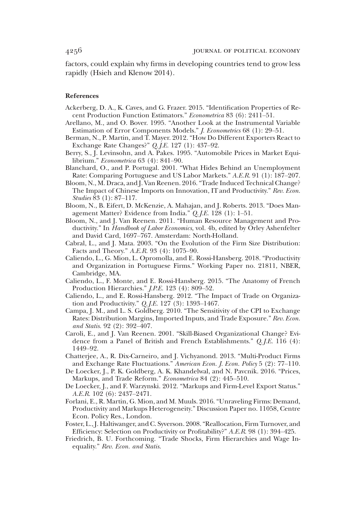factors, could explain why firms in developing countries tend to grow less rapidly (Hsieh and Klenow 2014).

#### References

- Ackerberg, D. A., K. Caves, and G. Frazer. 2015. "Identification Properties of Recent Production Function Estimators." Econometrica 83 (6): 2411–51.
- Arellano, M., and O. Bover. 1995. "Another Look at the Instrumental Variable Estimation of Error Components Models." J. Econometrics 68 (1): 29–51.
- Berman, N., P. Martin, and T. Mayer. 2012. "How Do Different Exporters React to Exchange Rate Changes?" Q. J.E. 127 (1): 437–92.
- Berry, S., J. Levinsohn, and A. Pakes. 1995. "Automobile Prices in Market Equilibrium." Econometrica 63 (4): 841–90.
- Blanchard, O., and P. Portugal. 2001. "What Hides Behind an Unemployment Rate: Comparing Portuguese and US Labor Markets." A.E.R. 91 (1): 187–207.
- Bloom, N., M. Draca, and J. Van Reenen. 2016."Trade Induced Technical Change? The Impact of Chinese Imports on Innovation, IT and Productivity." Rev. Econ. Studies 83 (1): 87–117.
- Bloom, N., B. Eifert, D. McKenzie, A. Mahajan, and J. Roberts. 2013. "Does Management Matter? Evidence from India." Q. J.E. 128 (1): 1–51.
- Bloom, N., and J. Van Reenen. 2011. "Human Resource Management and Productivity." In Handbook of Labor Economics, vol. 4b, edited by Orley Ashenfelter and David Card, 1697–767. Amsterdam: North-Holland.
- Cabral, L., and J. Mata. 2003. "On the Evolution of the Firm Size Distribution: Facts and Theory." A.E.R. 93 (4): 1075–90.
- Caliendo, L., G. Mion, L. Opromolla, and E. Rossi-Hansberg. 2018. "Productivity and Organization in Portuguese Firms." Working Paper no. 21811, NBER, Cambridge, MA.
- Caliendo, L., F. Monte, and E. Rossi-Hansberg. 2015. "The Anatomy of French Production Hierarchies." J.P.E. 123 (4): 809–52.
- Caliendo, L., and E. Rossi-Hansberg. 2012. "The Impact of Trade on Organization and Productivity."  $Q_{\text{I}}/E$ . 127 (3): 1393–1467.
- Campa, J. M., and L. S. Goldberg. 2010. "The Sensitivity of the CPI to Exchange Rates: Distribution Margins, Imported Inputs, and Trade Exposure." Rev. Econ. and Statis. 92 (2): 392–407.
- Caroli, E., and J. Van Reenen. 2001. "Skill-Biased Organizational Change? Evidence from a Panel of British and French Establishments." Q. J.E. 116 (4): 1449–92.
- Chatterjee, A., R. Dix-Carneiro, and J. Vichyanond. 2013. "Multi-Product Firms and Exchange Rate Fluctuations." American Econ. J. Econ. Policy 5 (2): 77–110.
- De Loecker, J., P. K. Goldberg, A. K. Khandelwal, and N. Pavcnik. 2016. "Prices, Markups, and Trade Reform." *Econometrica* 84 (2): 445–510.
- De Loecker, J., and F. Warzynski. 2012. "Markups and Firm-Level Export Status." A.E.R. 102 (6): 2437–2471.
- Forlani, E., R. Martin, G. Mion, and M. Muuls. 2016. "Unraveling Firms: Demand, Productivity and Markups Heterogeneity." Discussion Paper no. 11058, Centre Econ. Policy Res., London.
- Foster, L., J. Haltiwanger, and C. Syverson. 2008."Reallocation, Firm Turnover, and Efficiency: Selection on Productivity or Profitability?" A.E.R. 98 (1): 394–425.
- Friedrich, B. U. Forthcoming. "Trade Shocks, Firm Hierarchies and Wage Inequality." Rev. Econ. and Statis.